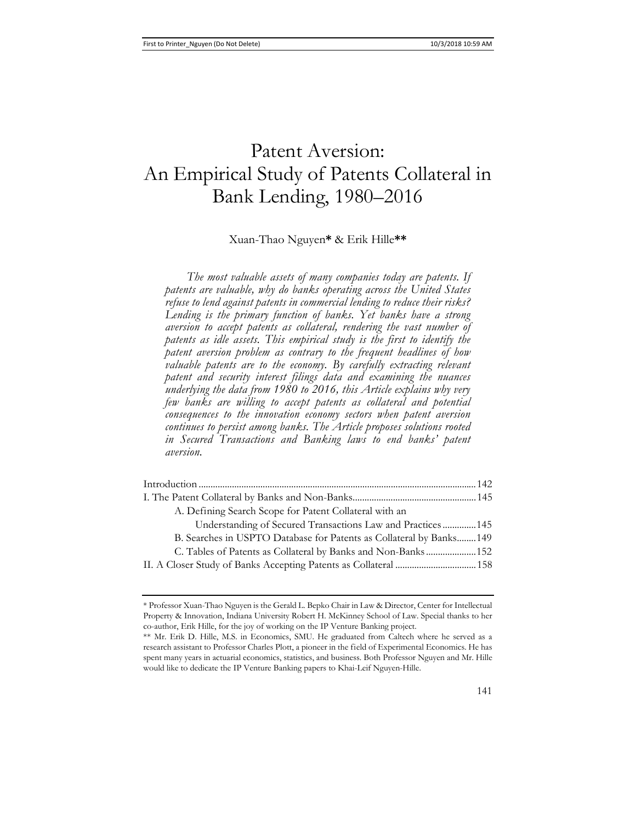# Patent Aversion: An Empirical Study of Patents Collateral in Bank Lending, 1980–2016

### Xuan-Thao Nguyen**\*** & Erik Hille**\*\***

*The most valuable assets of many companies today are patents. If patents are valuable, why do banks operating across the United States refuse to lend against patents in commercial lending to reduce their risks? Lending is the primary function of banks. Yet banks have a strong aversion to accept patents as collateral, rendering the vast number of patents as idle assets. This empirical study is the first to identify the patent aversion problem as contrary to the frequent headlines of how valuable patents are to the economy.* By carefully extracting relevant *patent and security interest filings data and examining the nuances underlying the data from 1980 to 2016, this Article explains why very few banks are willing to accept patents as collateral and potential consequences to the innovation economy sectors when patent aversion continues to persist among banks. The Article proposes solutions rooted in Secured Transactions and Banking laws to end banks' patent aversion.* 

| A. Defining Search Scope for Patent Collateral with an               |  |
|----------------------------------------------------------------------|--|
| Understanding of Secured Transactions Law and Practices 145          |  |
| B. Searches in USPTO Database for Patents as Collateral by Banks 149 |  |
| C. Tables of Patents as Collateral by Banks and Non-Banks152         |  |
|                                                                      |  |
|                                                                      |  |

<sup>\*</sup> Professor Xuan-Thao Nguyen is the Gerald L. Bepko Chair in Law & Director, Center for Intellectual Property & Innovation, Indiana University Robert H. McKinney School of Law. Special thanks to her co-author, Erik Hille, for the joy of working on the IP Venture Banking project.

<sup>\*\*</sup> Mr. Erik D. Hille, M.S. in Economics, SMU. He graduated from Caltech where he served as a research assistant to Professor Charles Plott, a pioneer in the field of Experimental Economics. He has spent many years in actuarial economics, statistics, and business. Both Professor Nguyen and Mr. Hille would like to dedicate the IP Venture Banking papers to Khai-Leif Nguyen-Hille.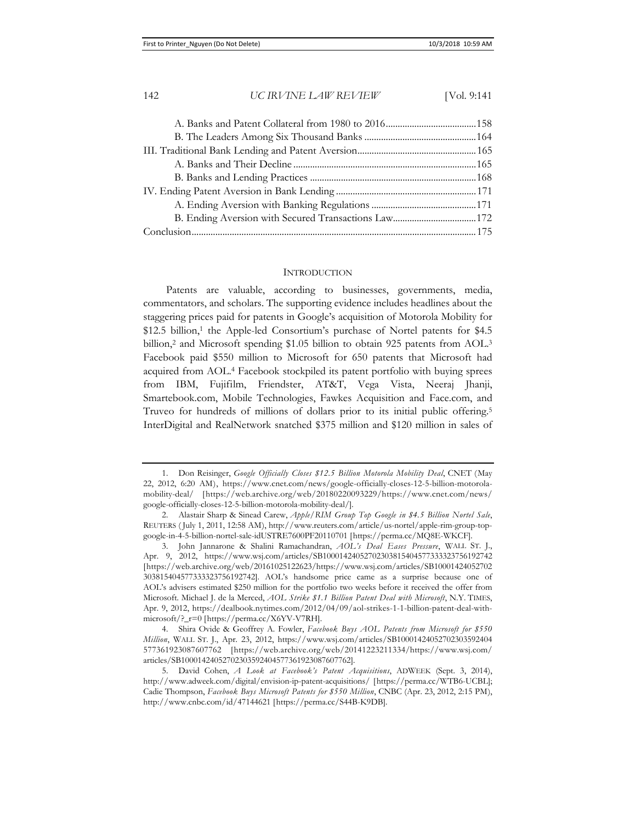#### INTRODUCTION

Patents are valuable, according to businesses, governments, media, commentators, and scholars. The supporting evidence includes headlines about the staggering prices paid for patents in Google's acquisition of Motorola Mobility for \$12.5 billion,<sup>1</sup> the Apple-led Consortium's purchase of Nortel patents for \$4.5 billion,<sup>2</sup> and Microsoft spending \$1.05 billion to obtain 925 patents from AOL.<sup>3</sup> Facebook paid \$550 million to Microsoft for 650 patents that Microsoft had acquired from AOL.4 Facebook stockpiled its patent portfolio with buying sprees from IBM, Fujifilm, Friendster, AT&T, Vega Vista, Neeraj Jhanji, Smartebook.com, Mobile Technologies, Fawkes Acquisition and Face.com, and Truveo for hundreds of millions of dollars prior to its initial public offering.5 InterDigital and RealNetwork snatched \$375 million and \$120 million in sales of

<sup>1.</sup> Don Reisinger, *Google Officially Closes \$12.5 Billion Motorola Mobility Deal*, CNET (May 22, 2012, 6:20 AM), https://www.cnet.com/news/google-officially-closes-12-5-billion-motorolamobility-deal/ [https://web.archive.org/web/20180220093229/https://www.cnet.com/news/ google-officially-closes-12-5-billion-motorola-mobility-deal/].

<sup>2.</sup> Alastair Sharp & Sinead Carew, *Apple/RIM Group Top Google in \$4.5 Billion Nortel Sale*, REUTERS ( July 1, 2011, 12:58 AM), http://www.reuters.com/article/us-nortel/apple-rim-group-topgoogle-in-4-5-billion-nortel-sale-idUSTRE7600PF20110701 [https://perma.cc/MQ8E-WKCF].

<sup>3.</sup> John Jannarone & Shalini Ramachandran, *AOL's Deal Eases Pressure*, WALL ST. J., Apr. 9, 2012, https://www.wsj.com/articles/SB10001424052702303815404577333323756192742 [https://web.archive.org/web/20161025122623/https://www.wsj.com/articles/SB10001424052702 303815404577333323756192742]. AOL's handsome price came as a surprise because one of AOL's advisers estimated \$250 million for the portfolio two weeks before it received the offer from Microsoft. Michael J. de la Merced, *AOL Strike \$1.1 Billion Patent Deal with Microsoft*, N.Y. TIMES, Apr. 9, 2012, https://dealbook.nytimes.com/2012/04/09/aol-strikes-1-1-billion-patent-deal-withmicrosoft/?\_r=0 [https://perma.cc/X6YV-V7RH].

<sup>4.</sup> Shira Ovide & Geoffrey A. Fowler, *Facebook Buys AOL Patents from Microsoft for \$550 Million*, WALL ST. J., Apr. 23, 2012, https://www.wsj.com/articles/SB10001424052702303592404 577361923087607762 [https://web.archive.org/web/20141223211334/https://www.wsj.com/ articles/SB10001424052702303592404577361923087607762].

<sup>5.</sup> David Cohen, *A Look at Facebook's Patent Acquisitions*, ADWEEK (Sept. 3, 2014), http://www.adweek.com/digital/envision-ip-patent-acquisitions/ [https://perma.cc/WTB6-UCBL]; Cadie Thompson, *Facebook Buys Microsoft Patents for \$550 Million*, CNBC (Apr. 23, 2012, 2:15 PM), http://www.cnbc.com/id/47144621 [https://perma.cc/S44B-K9DB].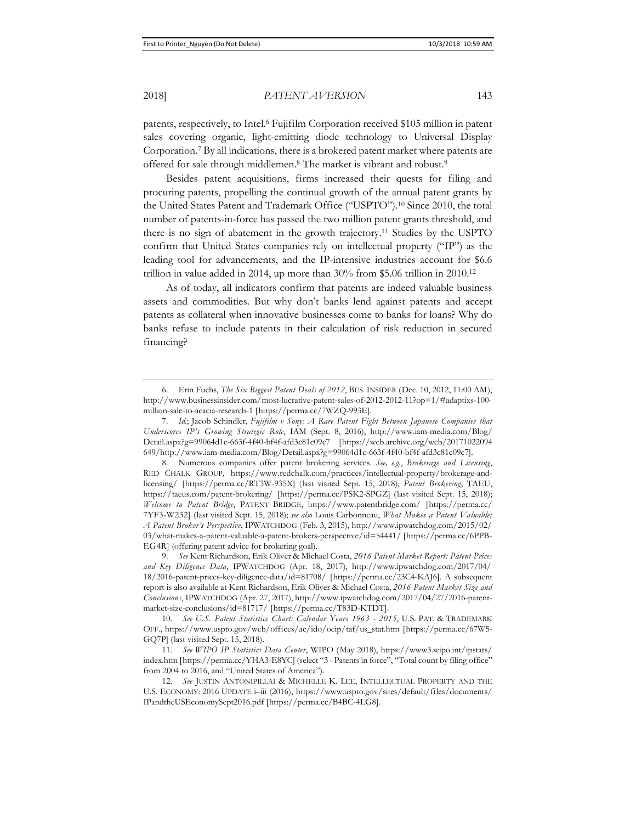patents, respectively, to Intel.6 Fujifilm Corporation received \$105 million in patent sales covering organic, light-emitting diode technology to Universal Display Corporation.7 By all indications, there is a brokered patent market where patents are offered for sale through middlemen.8 The market is vibrant and robust.9

Besides patent acquisitions, firms increased their quests for filing and procuring patents, propelling the continual growth of the annual patent grants by the United States Patent and Trademark Office ("USPTO").10 Since 2010, the total number of patents-in-force has passed the two million patent grants threshold, and there is no sign of abatement in the growth trajectory.11 Studies by the USPTO confirm that United States companies rely on intellectual property ("IP") as the leading tool for advancements, and the IP-intensive industries account for \$6.6 trillion in value added in 2014, up more than  $30\%$  from \$5.06 trillion in 2010.<sup>12</sup>

As of today, all indicators confirm that patents are indeed valuable business assets and commodities. But why don't banks lend against patents and accept patents as collateral when innovative businesses come to banks for loans? Why do banks refuse to include patents in their calculation of risk reduction in secured financing?

<sup>6.</sup> Erin Fuchs, *The Six Biggest Patent Deals of 2012*, BUS. INSIDER (Dec. 10, 2012, 11:00 AM), http://www.businessinsider.com/most-lucrative-patent-sales-of-2012-2012-11?op=1/#adaptixs-100 million-sale-to-acacia-research-1 [https://perma.cc/7WZQ-993E].

<sup>7.</sup> *Id.*; Jacob Schindler, *Fujifilm v Sony: A Rare Patent Fight Between Japanese Companies that Underscores IP's Growing Strategic Role*, IAM (Sept. 8, 2016), http://www.iam-media.com/Blog/ Detail.aspx?g=99064d1c-663f-4f40-bf4f-afd3c81c09c7 [https://web.archive.org/web/20171022094 649/http://www.iam-media.com/Blog/Detail.aspx?g=99064d1c-663f-4f40-bf4f-afd3c81c09c7].

<sup>8.</sup> Numerous companies offer patent brokering services. *See, e.g.*, *Brokerage and Licensing*, RED CHALK GROUP, https://www.redchalk.com/practices/intellectual-property/brokerage-andlicensing/ [https://perma.cc/RT3W-935X] (last visited Sept. 15, 2018); *Patent Brokering*, TAEU, https://taeus.com/patent-brokering/ [https://perma.cc/PSK2-SPGZ] (last visited Sept. 15, 2018); *Welcome to Patent Bridge*, PATENT BRIDGE, https://www.patentbridge.com/ [https://perma.cc/ 7YF3-W232] (last visited Sept. 15, 2018); *see also* Louis Carbonneau, *What Makes a Patent Valuable; A Patent Broker's Perspective*, IPWATCHDOG (Feb. 3, 2015), http://www.ipwatchdog.com/2015/02/ 03/what-makes-a-patent-valuable-a-patent-brokers-perspective/id=54441/ [https://perma.cc/6PPB-EG4R] (offering patent advice for brokering goal).

<sup>9.</sup> *See* Kent Richardson, Erik Oliver & Michael Costa, *2016 Patent Market Report: Patent Prices and Key Diligence Data*, IPWATCHDOG (Apr. 18, 2017), http://www.ipwatchdog.com/2017/04/ 18/2016-patent-prices-key-diligence-data/id=81708/ [https://perma.cc/23C4-KAJ6]. A subsequent report is also available at Kent Richardson, Erik Oliver & Michael Costa, *2016 Patent Market Size and Conclusions*, IPWATCHDOG (Apr. 27, 2017), http://www.ipwatchdog.com/2017/04/27/2016-patentmarket-size-conclusions/id=81717/ [https://perma.cc/T83D-KTDT].

<sup>10.</sup> *See U.S. Patent Statistics Chart: Calendar Years 1963 - 2015*, U.S. PAT. & TRADEMARK OFF., https://www.uspto.gov/web/offices/ac/ido/oeip/taf/us\_stat.htm [https://perma.cc/67W5- GQ7P] (last visited Sept. 15, 2018).

<sup>11.</sup> *See WIPO IP Statistics Data Center*, WIPO (May 2018), https://www3.wipo.int/ipstats/ index.htm [https://perma.cc/YHA3-E8YC] (select "3 - Patents in force", "Total count by filing office" from 2004 to 2016, and "United States of America").

<sup>12.</sup> See JUSTIN ANTONIPILLAI & MICHELLE K. LEE, INTELLECTUAL PROPERTY AND THE U.S. ECONOMY: 2016 UPDATE i–iii (2016), https://www.uspto.gov/sites/default/files/documents/ IPandtheUSEconomySept2016.pdf [https://perma.cc/B4BC-4LG8].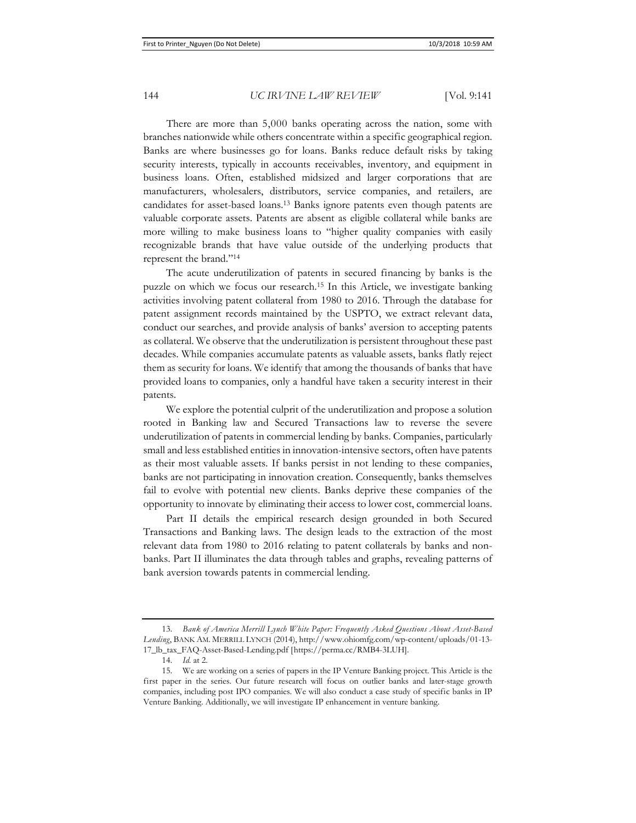There are more than 5,000 banks operating across the nation, some with branches nationwide while others concentrate within a specific geographical region. Banks are where businesses go for loans. Banks reduce default risks by taking security interests, typically in accounts receivables, inventory, and equipment in business loans. Often, established midsized and larger corporations that are manufacturers, wholesalers, distributors, service companies, and retailers, are candidates for asset-based loans.13 Banks ignore patents even though patents are valuable corporate assets. Patents are absent as eligible collateral while banks are more willing to make business loans to "higher quality companies with easily recognizable brands that have value outside of the underlying products that represent the brand."14

The acute underutilization of patents in secured financing by banks is the puzzle on which we focus our research.15 In this Article, we investigate banking activities involving patent collateral from 1980 to 2016. Through the database for patent assignment records maintained by the USPTO, we extract relevant data, conduct our searches, and provide analysis of banks' aversion to accepting patents as collateral. We observe that the underutilization is persistent throughout these past decades. While companies accumulate patents as valuable assets, banks flatly reject them as security for loans. We identify that among the thousands of banks that have provided loans to companies, only a handful have taken a security interest in their patents.

We explore the potential culprit of the underutilization and propose a solution rooted in Banking law and Secured Transactions law to reverse the severe underutilization of patents in commercial lending by banks. Companies, particularly small and less established entities in innovation-intensive sectors, often have patents as their most valuable assets. If banks persist in not lending to these companies, banks are not participating in innovation creation. Consequently, banks themselves fail to evolve with potential new clients. Banks deprive these companies of the opportunity to innovate by eliminating their access to lower cost, commercial loans.

Part II details the empirical research design grounded in both Secured Transactions and Banking laws. The design leads to the extraction of the most relevant data from 1980 to 2016 relating to patent collaterals by banks and nonbanks. Part II illuminates the data through tables and graphs, revealing patterns of bank aversion towards patents in commercial lending.

<sup>13.</sup> *Bank of America Merrill Lynch White Paper: Frequently Asked Questions About Asset-Based Lending*, BANK AM. MERRILL LYNCH (2014), http://www.ohiomfg.com/wp-content/uploads/01-13- 17\_lb\_tax\_FAQ-Asset-Based-Lending.pdf [https://perma.cc/RMB4-3LUH].

<sup>14.</sup> *Id.* at 2.

<sup>15.</sup> We are working on a series of papers in the IP Venture Banking project. This Article is the first paper in the series. Our future research will focus on outlier banks and later-stage growth companies, including post IPO companies. We will also conduct a case study of specific banks in IP Venture Banking. Additionally, we will investigate IP enhancement in venture banking.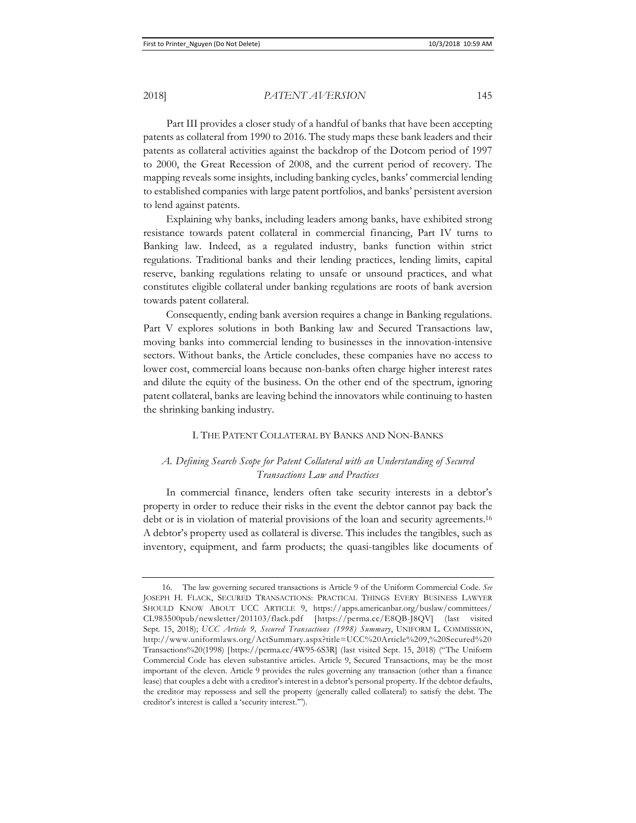Part III provides a closer study of a handful of banks that have been accepting patents as collateral from 1990 to 2016. The study maps these bank leaders and their patents as collateral activities against the backdrop of the Dotcom period of 1997 to 2000, the Great Recession of 2008, and the current period of recovery. The mapping reveals some insights, including banking cycles, banks' commercial lending to established companies with large patent portfolios, and banks' persistent aversion to lend against patents.

Explaining why banks, including leaders among banks, have exhibited strong resistance towards patent collateral in commercial financing, Part IV turns to Banking law. Indeed, as a regulated industry, banks function within strict regulations. Traditional banks and their lending practices, lending limits, capital reserve, banking regulations relating to unsafe or unsound practices, and what constitutes eligible collateral under banking regulations are roots of bank aversion towards patent collateral.

Consequently, ending bank aversion requires a change in Banking regulations. Part V explores solutions in both Banking law and Secured Transactions law, moving banks into commercial lending to businesses in the innovation-intensive sectors. Without banks, the Article concludes, these companies have no access to lower cost, commercial loans because non-banks often charge higher interest rates and dilute the equity of the business. On the other end of the spectrum, ignoring patent collateral, banks are leaving behind the innovators while continuing to hasten the shrinking banking industry.

#### I. THE PATENT COLLATERAL BY BANKS AND NON-BANKS

### *A. Defining Search Scope for Patent Collateral with an Understanding of Secured Transactions Law and Practices*

In commercial finance, lenders often take security interests in a debtor's property in order to reduce their risks in the event the debtor cannot pay back the debt or is in violation of material provisions of the loan and security agreements.16 A debtor's property used as collateral is diverse. This includes the tangibles, such as inventory, equipment, and farm products; the quasi-tangibles like documents of

<sup>16.</sup> The law governing secured transactions is Article 9 of the Uniform Commercial Code. *See* JOSEPH H. FLACK, SECURED TRANSACTIONS: PRACTICAL THINGS EVERY BUSINESS LAWYER SHOULD KNOW ABOUT UCC ARTICLE 9, https://apps.americanbar.org/buslaw/committees/ CL983500pub/newsletter/201103/flack.pdf [https://perma.cc/E8QB-J8QV] (last visited Sept. 15, 2018); *UCC Article 9, Secured Transactions (1998) Summary*, UNIFORM L. COMMISSION, http://www.uniformlaws.org/ActSummary.aspx?title=UCC%20Article%209,%20Secured%20 Transactions%20(1998) [https://perma.cc/4W95-6S3R] (last visited Sept. 15, 2018) ("The Uniform Commercial Code has eleven substantive articles. Article 9, Secured Transactions, may be the most important of the eleven. Article 9 provides the rules governing any transaction (other than a finance lease) that couples a debt with a creditor's interest in a debtor's personal property. If the debtor defaults, the creditor may repossess and sell the property (generally called collateral) to satisfy the debt. The creditor's interest is called a 'security interest.'").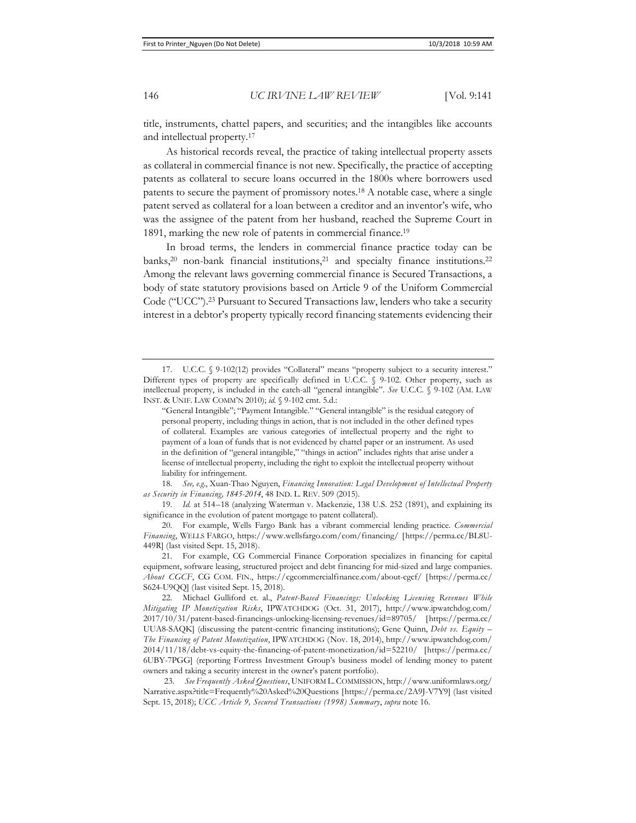title, instruments, chattel papers, and securities; and the intangibles like accounts and intellectual property.17

As historical records reveal, the practice of taking intellectual property assets as collateral in commercial finance is not new. Specifically, the practice of accepting patents as collateral to secure loans occurred in the 1800s where borrowers used patents to secure the payment of promissory notes.18 A notable case, where a single patent served as collateral for a loan between a creditor and an inventor's wife, who was the assignee of the patent from her husband, reached the Supreme Court in 1891, marking the new role of patents in commercial finance.19

In broad terms, the lenders in commercial finance practice today can be banks,<sup>20</sup> non-bank financial institutions,<sup>21</sup> and specialty finance institutions.<sup>22</sup> Among the relevant laws governing commercial finance is Secured Transactions, a body of state statutory provisions based on Article 9 of the Uniform Commercial Code ("UCC").23 Pursuant to Secured Transactions law, lenders who take a security interest in a debtor's property typically record financing statements evidencing their

18. *See, e.g.*, Xuan-Thao Nguyen, *Financing Innovation: Legal Development of Intellectual Property as Security in Financing, 1845-2014*, 48 IND. L. REV. 509 (2015).

19. *Id.* at 514–18 (analyzing Waterman v. Mackenzie, 138 U.S. 252 (1891), and explaining its significance in the evolution of patent mortgage to patent collateral).

20. For example, Wells Fargo Bank has a vibrant commercial lending practice. *Commercial Financing*, WELLS FARGO, https://www.wellsfargo.com/com/financing/ [https://perma.cc/BL8U-449R] (last visited Sept. 15, 2018).

<sup>17.</sup> U.C.C. § 9-102(12) provides "Collateral" means "property subject to a security interest." Different types of property are specifically defined in U.C.C. § 9-102. Other property, such as intellectual property, is included in the catch-all "general intangible". *See* U.C.C. § 9-102 (AM. LAW INST. & UNIF. LAW COMM'N 2010); *id.* § 9-102 cmt. 5.d.:

<sup>&</sup>quot;General Intangible"; "Payment Intangible." "General intangible" is the residual category of personal property, including things in action, that is not included in the other defined types of collateral. Examples are various categories of intellectual property and the right to payment of a loan of funds that is not evidenced by chattel paper or an instrument. As used in the definition of "general intangible," "things in action" includes rights that arise under a license of intellectual property, including the right to exploit the intellectual property without liability for infringement.

<sup>21.</sup> For example, CG Commercial Finance Corporation specializes in financing for capital equipment, software leasing, structured project and debt financing for mid-sized and large companies. *About CGCF*, CG COM. FIN., https://cgcommercialfinance.com/about-cgcf/ [https://perma.cc/ S624-U9QQ] (last visited Sept. 15, 2018).

<sup>22.</sup> Michael Gulliford et. al., *Patent-Based Financings: Unlocking Licensing Revenues While Mitigating IP Monetization Risks*, IPWATCHDOG (Oct. 31, 2017), http://www.ipwatchdog.com/ 2017/10/31/patent-based-financings-unlocking-licensing-revenues/id=89705/ [https://perma.cc/ UUA8-SAQK] (discussing the patent-centric financing institutions); Gene Quinn, *Debt vs. Equity – The Financing of Patent Monetization*, IPWATCHDOG (Nov. 18, 2014), http://www.ipwatchdog.com/ 2014/11/18/debt-vs-equity-the-financing-of-patent-monetization/id=52210/ [https://perma.cc/ 6UBY-7PGG] (reporting Fortress Investment Group's business model of lending money to patent owners and taking a security interest in the owner's patent portfolio).

 <sup>23.</sup> *See Frequently Asked Questions*, UNIFORM L. COMMISSION, http://www.uniformlaws.org/ Narrative.aspx?title=Frequently%20Asked%20Questions [https://perma.cc/2A9J-V7Y9] (last visited Sept. 15, 2018); *UCC Article 9, Secured Transactions (1998) Summary*, *supra* note 16.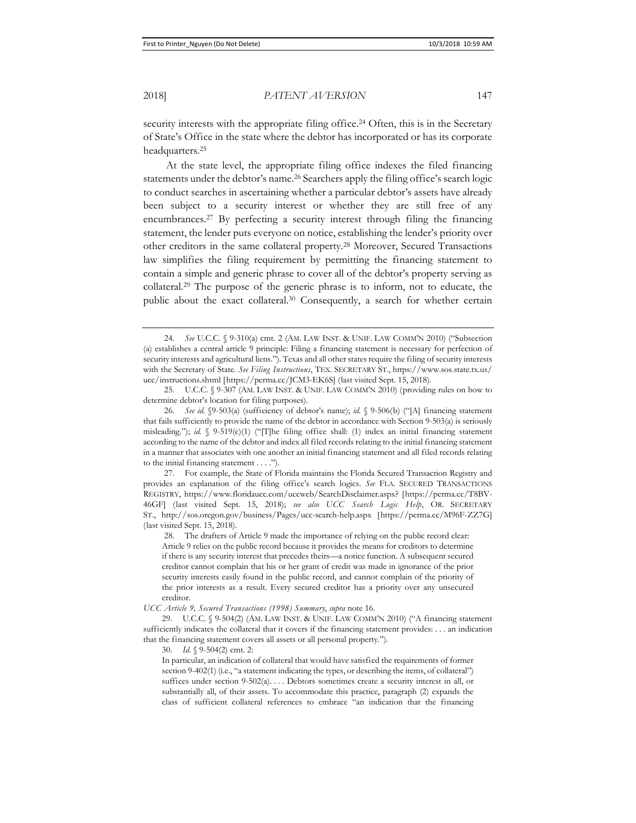security interests with the appropriate filing office.<sup>24</sup> Often, this is in the Secretary of State's Office in the state where the debtor has incorporated or has its corporate headquarters.25

At the state level, the appropriate filing office indexes the filed financing statements under the debtor's name.26 Searchers apply the filing office's search logic to conduct searches in ascertaining whether a particular debtor's assets have already been subject to a security interest or whether they are still free of any encumbrances.27 By perfecting a security interest through filing the financing statement, the lender puts everyone on notice, establishing the lender's priority over other creditors in the same collateral property.28 Moreover, Secured Transactions law simplifies the filing requirement by permitting the financing statement to contain a simple and generic phrase to cover all of the debtor's property serving as collateral.29 The purpose of the generic phrase is to inform, not to educate, the public about the exact collateral.30 Consequently, a search for whether certain

 25. U.C.C. § 9-307 (AM. LAW INST. & UNIF. LAW COMM'N 2010) (providing rules on how to determine debtor's location for filing purposes).

30. *Id.* § 9-504(2) cmt. 2:

In particular, an indication of collateral that would have satisfied the requirements of former section 9-402(1) (i.e., "a statement indicating the types, or describing the items, of collateral") suffices under section 9-502(a).... Debtors sometimes create a security interest in all, or substantially all, of their assets. To accommodate this practice, paragraph (2) expands the class of sufficient collateral references to embrace "an indication that the financing

 <sup>24.</sup> *See* U.C.C. § 9-310(a) cmt. 2 (AM. LAW INST. & UNIF. LAW COMM'N 2010) ("Subsection (a) establishes a central article 9 principle: Filing a financing statement is necessary for perfection of security interests and agricultural liens."). Texas and all other states require the filing of security interests with the Secretary of State. *See Filing Instructions*, TEX. SECRETARY ST., https://www.sos.state.tx.us/ ucc/instructions.shtml [https://perma.cc/JCM3-EK6S] (last visited Sept. 15, 2018).

 <sup>26.</sup> *See id.* §9-503(a) (sufficiency of debtor's name); *id.* § 9-506(b) ("[A] financing statement that fails sufficiently to provide the name of the debtor in accordance with Section 9-503(a) is seriously misleading."); *id.* § 9-519(c)(1) ("[T]he filing office shall: (1) index an initial financing statement according to the name of the debtor and index all filed records relating to the initial financing statement in a manner that associates with one another an initial financing statement and all filed records relating to the initial financing statement . . . .").

 <sup>27.</sup> For example, the State of Florida maintains the Florida Secured Transaction Registry and provides an explanation of the filing office's search logics. *See* FLA. SECURED TRANSACTIONS REGISTRY, https://www.floridaucc.com/uccweb/SearchDisclaimer.aspx? [https://perma.cc/T8BV-46GF] (last visited Sept. 15, 2018); *see also UCC Search Logic Help*, OR. SECRETARY ST., http://sos.oregon.gov/business/Pages/ucc-search-help.aspx [https://perma.cc/M96F-ZZ7G] (last visited Sept. 15, 2018).

 <sup>28.</sup> The drafters of Article 9 made the importance of relying on the public record clear: Article 9 relies on the public record because it provides the means for creditors to determine if there is any security interest that precedes theirs—a notice function. A subsequent secured creditor cannot complain that his or her grant of credit was made in ignorance of the prior security interests easily found in the public record, and cannot complain of the priority of the prior interests as a result. Every secured creditor has a priority over any unsecured creditor.

*UCC Article 9, Secured Transactions (1998) Summary*, *supra* note 16.

<sup>29.</sup> U.C.C. § 9-504(2) (AM. LAW INST. & UNIF. LAW COMM'N 2010) ("A financing statement sufficiently indicates the collateral that it covers if the financing statement provides: . . . an indication that the financing statement covers all assets or all personal property.").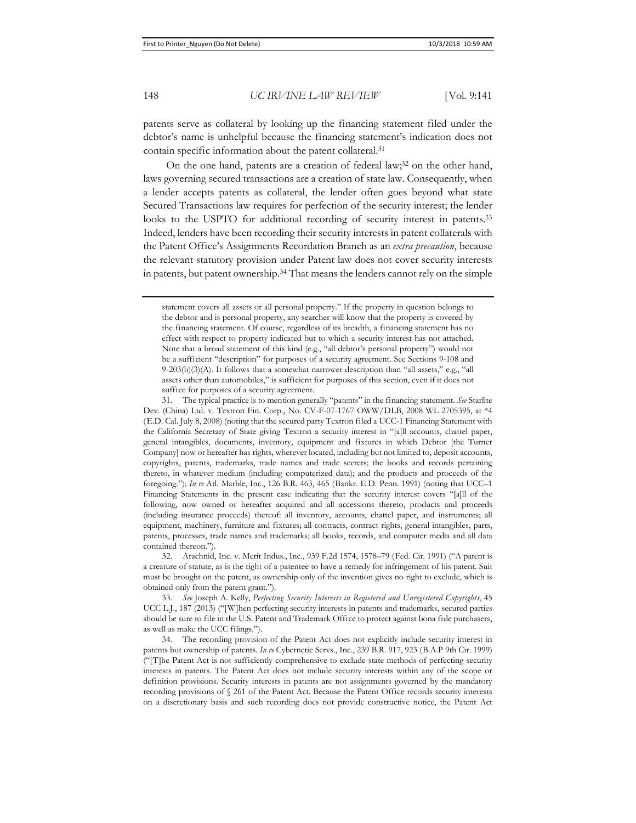patents serve as collateral by looking up the financing statement filed under the debtor's name is unhelpful because the financing statement's indication does not contain specific information about the patent collateral.31

On the one hand, patents are a creation of federal law;<sup>32</sup> on the other hand, laws governing secured transactions are a creation of state law. Consequently, when a lender accepts patents as collateral, the lender often goes beyond what state Secured Transactions law requires for perfection of the security interest; the lender looks to the USPTO for additional recording of security interest in patents.33 Indeed, lenders have been recording their security interests in patent collaterals with the Patent Office's Assignments Recordation Branch as an *extra precaution*, because the relevant statutory provision under Patent law does not cover security interests in patents, but patent ownership.34 That means the lenders cannot rely on the simple

32. Arachnid, Inc. v. Merit Indus., Inc., 939 F.2d 1574, 1578–79 (Fed. Cir. 1991) ("A patent is a creature of statute, as is the right of a patentee to have a remedy for infringement of his patent. Suit must be brought on the patent, as ownership only of the invention gives no right to exclude, which is obtained only from the patent grant.").

33. *See* Joseph A. Kelly, *Perfecting Security Interests in Registered and Unregistered Copyrights*, 45 UCC L.J., 187 (2013) ("[W]hen perfecting security interests in patents and trademarks, secured parties should be sure to file in the U.S. Patent and Trademark Office to protect against bona fide purchasers, as well as make the UCC filings.").

34. The recording provision of the Patent Act does not explicitly include security interest in patents but ownership of patents. *In re* Cybernetic Servs., Inc., 239 B.R. 917, 923 (B.A.P 9th Cir. 1999) ("[T]he Patent Act is not sufficiently comprehensive to exclude state methods of perfecting security interests in patents. The Patent Act does not include security interests within any of the scope or definition provisions. Security interests in patents are not assignments governed by the mandatory recording provisions of § 261 of the Patent Act. Because the Patent Office records security interests on a discretionary basis and such recording does not provide constructive notice, the Patent Act

statement covers all assets or all personal property." If the property in question belongs to the debtor and is personal property, any searcher will know that the property is covered by the financing statement. Of course, regardless of its breadth, a financing statement has no effect with respect to property indicated but to which a security interest has not attached. Note that a broad statement of this kind (e.g., "all debtor's personal property") would not be a sufficient "description" for purposes of a security agreement. See Sections 9-108 and 9-203(b)(3)(A). It follows that a somewhat narrower description than "all assets," e.g., "all assets other than automobiles," is sufficient for purposes of this section, even if it does not suffice for purposes of a security agreement.

<sup>31.</sup> The typical practice is to mention generally "patents" in the financing statement. *See* Starlite Dev. (China) Ltd. v. Textron Fin. Corp., No. CV-F-07-1767 OWW/DLB, 2008 WL 2705395, at \*4 (E.D. Cal. July 8, 2008) (noting that the secured party Textron filed a UCC-1 Financing Statement with the California Secretary of State giving Textron a security interest in "[a]ll accounts, chattel paper, general intangibles, documents, inventory, equipment and fixtures in which Debtor [the Turner Company] now or hereafter has rights, wherever located, including but not limited to, deposit accounts, copyrights, patents, trademarks, trade names and trade secrets; the books and records pertaining thereto, in whatever medium (including computerized data); and the products and proceeds of the foregoing."); *In re* Atl. Marble, Inc., 126 B.R. 463, 465 (Bankr. E.D. Penn. 1991) (noting that UCC–1 Financing Statements in the present case indicating that the security interest covers "[a]ll of the following, now owned or hereafter acquired and all accessions thereto, products and proceeds (including insurance proceeds) thereof: all inventory, accounts, chattel paper, and instruments; all equipment, machinery, furniture and fixtures; all contracts, contract rights, general intangibles, parts, patents, processes, trade names and trademarks; all books, records, and computer media and all data contained thereon.").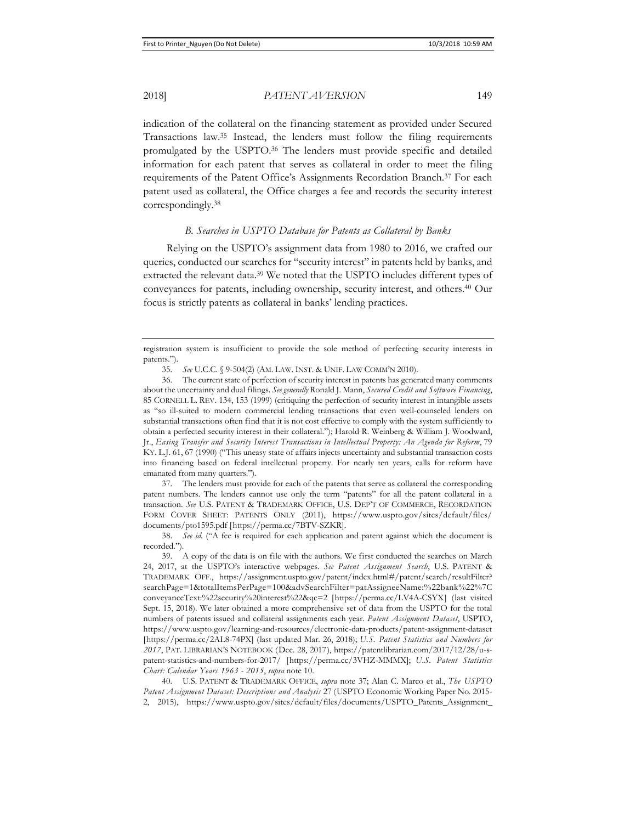indication of the collateral on the financing statement as provided under Secured Transactions law.35 Instead, the lenders must follow the filing requirements promulgated by the USPTO.36 The lenders must provide specific and detailed information for each patent that serves as collateral in order to meet the filing requirements of the Patent Office's Assignments Recordation Branch.37 For each patent used as collateral, the Office charges a fee and records the security interest correspondingly.38

### *B. Searches in USPTO Database for Patents as Collateral by Banks*

Relying on the USPTO's assignment data from 1980 to 2016, we crafted our queries, conducted our searches for "security interest" in patents held by banks, and extracted the relevant data.39 We noted that the USPTO includes different types of conveyances for patents, including ownership, security interest, and others.40 Our focus is strictly patents as collateral in banks' lending practices.

37. The lenders must provide for each of the patents that serve as collateral the corresponding patent numbers. The lenders cannot use only the term "patents" for all the patent collateral in a transaction. *See* U.S. PATENT & TRADEMARK OFFICE, U.S. DEP'T OF COMMERCE, RECORDATION FORM COVER SHEET: PATENTS ONLY (2011), https://www.uspto.gov/sites/default/files/ documents/pto1595.pdf [https://perma.cc/7BTV-SZKR].

38. *See id.* ("A fee is required for each application and patent against which the document is recorded.").

39. A copy of the data is on file with the authors. We first conducted the searches on March 24, 2017, at the USPTO's interactive webpages. *See Patent Assignment Search*, U.S. PATENT & TRADEMARK OFF., https://assignment.uspto.gov/patent/index.html#/patent/search/resultFilter? searchPage=1&totalItemsPerPage=100&advSearchFilter=patAssigneeName:%22bank%22%7C conveyanceText:%22security%20interest%22&qc=2 [https://perma.cc/LV4A-CSYX] (last visited Sept. 15, 2018). We later obtained a more comprehensive set of data from the USPTO for the total numbers of patents issued and collateral assignments each year. *Patent Assignment Dataset*, USPTO, https://www.uspto.gov/learning-and-resources/electronic-data-products/patent-assignment-dataset [https://perma.cc/2AL8-74PX] (last updated Mar. 26, 2018); *U.S. Patent Statistics and Numbers for 2017*, PAT. LIBRARIAN'S NOTEBOOK (Dec. 28, 2017), https://patentlibrarian.com/2017/12/28/u-spatent-statistics-and-numbers-for-2017/ [https://perma.cc/3VHZ-MMMX]; *U.S. Patent Statistics Chart: Calendar Years 1963 - 2015*, *supra* note 10.

40. U.S. PATENT & TRADEMARK OFFICE, *supra* note 37; Alan C. Marco et al., *The USPTO Patent Assignment Dataset: Descriptions and Analysis* 27 (USPTO Economic Working Paper No. 2015- 2, 2015), https://www.uspto.gov/sites/default/files/documents/USPTO\_Patents\_Assignment\_

registration system is insufficient to provide the sole method of perfecting security interests in patents.").

<sup>35.</sup> *See* U.C.C. § 9-504(2) (AM. LAW. INST. & UNIF. LAW COMM'N 2010).

<sup>36.</sup> The current state of perfection of security interest in patents has generated many comments about the uncertainty and dual filings. *See generally* Ronald J. Mann, *Secured Credit and Software Financing*, 85 CORNELL L. REV. 134, 153 (1999) (critiquing the perfection of security interest in intangible assets as "so ill-suited to modern commercial lending transactions that even well-counseled lenders on substantial transactions often find that it is not cost effective to comply with the system sufficiently to obtain a perfected security interest in their collateral."); Harold R. Weinberg & William J. Woodward, Jr., *Easing Transfer and Security Interest Transactions in Intellectual Property: An Agenda for Reform*, 79 KY. L.J. 61, 67 (1990) ("This uneasy state of affairs injects uncertainty and substantial transaction costs into financing based on federal intellectual property. For nearly ten years, calls for reform have emanated from many quarters.").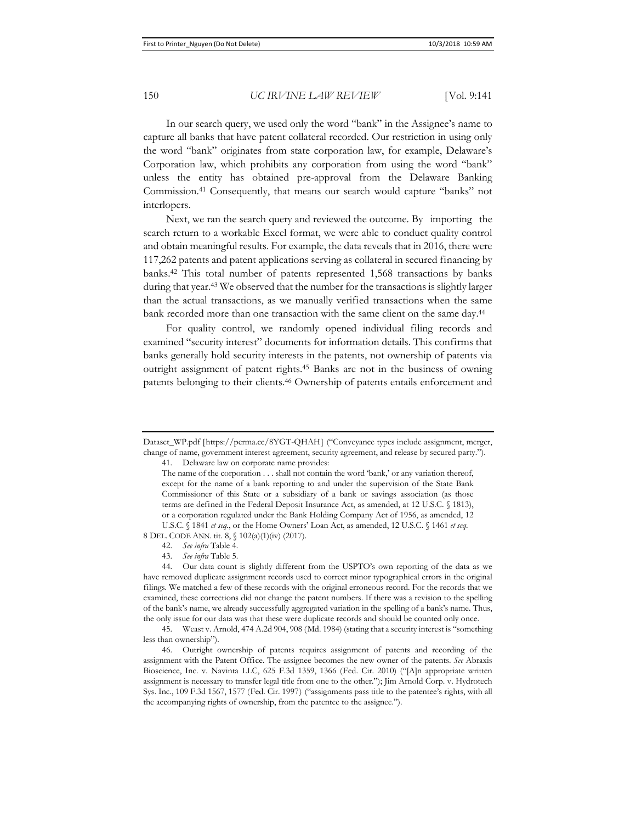In our search query, we used only the word "bank" in the Assignee's name to capture all banks that have patent collateral recorded. Our restriction in using only the word "bank" originates from state corporation law, for example, Delaware's Corporation law, which prohibits any corporation from using the word "bank" unless the entity has obtained pre-approval from the Delaware Banking Commission.41 Consequently, that means our search would capture "banks" not interlopers.

Next, we ran the search query and reviewed the outcome. By importing the search return to a workable Excel format, we were able to conduct quality control and obtain meaningful results. For example, the data reveals that in 2016, there were 117,262 patents and patent applications serving as collateral in secured financing by banks.42 This total number of patents represented 1,568 transactions by banks during that year.<sup>43</sup> We observed that the number for the transactions is slightly larger than the actual transactions, as we manually verified transactions when the same bank recorded more than one transaction with the same client on the same day.<sup>44</sup>

For quality control, we randomly opened individual filing records and examined "security interest" documents for information details. This confirms that banks generally hold security interests in the patents, not ownership of patents via outright assignment of patent rights.45 Banks are not in the business of owning patents belonging to their clients.46 Ownership of patents entails enforcement and

41. Delaware law on corporate name provides:

Dataset\_WP.pdf [https://perma.cc/8YGT-QHAH] ("Conveyance types include assignment, merger, change of name, government interest agreement, security agreement, and release by secured party.").

The name of the corporation . . . shall not contain the word 'bank,' or any variation thereof, except for the name of a bank reporting to and under the supervision of the State Bank Commissioner of this State or a subsidiary of a bank or savings association (as those terms are defined in the Federal Deposit Insurance Act, as amended, at 12 U.S.C. § 1813), or a corporation regulated under the Bank Holding Company Act of 1956, as amended, 12 U.S.C. § 1841 *et seq.*, or the Home Owners' Loan Act, as amended, 12 U.S.C. § 1461 *et seq.*

<sup>8</sup> DEL. CODE ANN. tit. 8, § 102(a)(1)(iv) (2017).

<sup>42.</sup> *See infra* Table 4.

<sup>43.</sup> *See infra* Table 5.

<sup>44.</sup> Our data count is slightly different from the USPTO's own reporting of the data as we have removed duplicate assignment records used to correct minor typographical errors in the original filings. We matched a few of these records with the original erroneous record. For the records that we examined, these corrections did not change the patent numbers. If there was a revision to the spelling of the bank's name, we already successfully aggregated variation in the spelling of a bank's name. Thus, the only issue for our data was that these were duplicate records and should be counted only once.

<sup>45.</sup> Weast v. Arnold, 474 A.2d 904, 908 (Md. 1984) (stating that a security interest is "something less than ownership").

<sup>46.</sup> Outright ownership of patents requires assignment of patents and recording of the assignment with the Patent Office. The assignee becomes the new owner of the patents. *See* Abraxis Bioscience, Inc. v. Navinta LLC, 625 F.3d 1359, 1366 (Fed. Cir. 2010) ("[A]n appropriate written assignment is necessary to transfer legal title from one to the other."); Jim Arnold Corp. v. Hydrotech Sys. Inc., 109 F.3d 1567, 1577 (Fed. Cir. 1997) ("assignments pass title to the patentee's rights, with all the accompanying rights of ownership, from the patentee to the assignee.").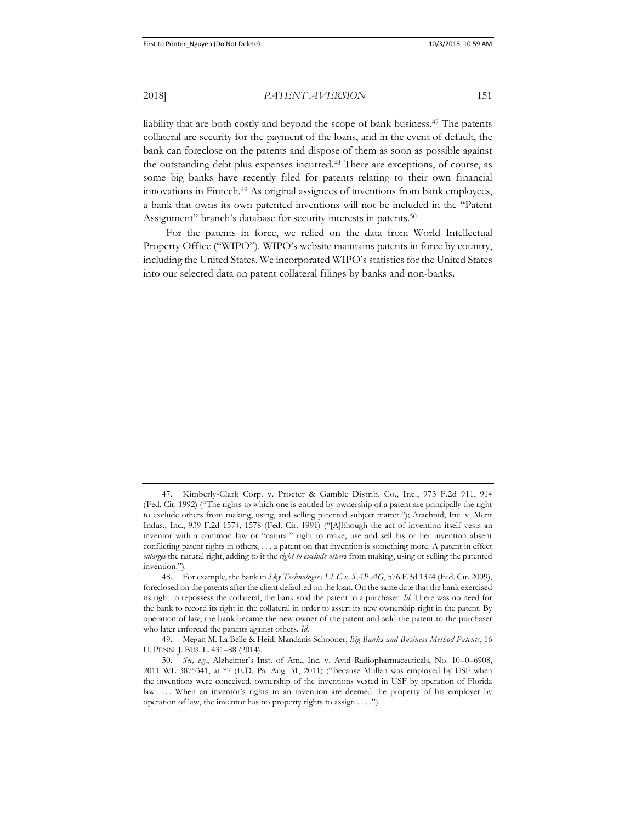liability that are both costly and beyond the scope of bank business.47 The patents collateral are security for the payment of the loans, and in the event of default, the bank can foreclose on the patents and dispose of them as soon as possible against the outstanding debt plus expenses incurred.48 There are exceptions, of course, as some big banks have recently filed for patents relating to their own financial innovations in Fintech.49 As original assignees of inventions from bank employees, a bank that owns its own patented inventions will not be included in the "Patent Assignment" branch's database for security interests in patents.<sup>50</sup>

For the patents in force, we relied on the data from World Intellectual Property Office ("WIPO"). WIPO's website maintains patents in force by country, including the United States. We incorporated WIPO's statistics for the United States into our selected data on patent collateral filings by banks and non-banks.

<sup>47.</sup> Kimberly-Clark Corp. v. Procter & Gamble Distrib. Co., Inc., 973 F.2d 911, 914 (Fed. Cir. 1992) ("The rights to which one is entitled by ownership of a patent are principally the right to exclude others from making, using, and selling patented subject matter."); Arachnid, Inc. v. Merit Indus., Inc., 939 F.2d 1574, 1578 (Fed. Cir. 1991) ("[A]lthough the act of invention itself vests an inventor with a common law or "natural" right to make, use and sell his or her invention absent conflicting patent rights in others, . . . a patent on that invention is something more. A patent in effect *enlarges* the natural right, adding to it the *right to exclude others* from making, using or selling the patented invention.").

<sup>48.</sup> For example, the bank in *Sky Technologies LLC v. SAP AG*, 576 F.3d 1374 (Fed. Cir. 2009), foreclosed on the patents after the client defaulted on the loan. On the same date that the bank exercised its right to repossess the collateral, the bank sold the patent to a purchaser. *Id.* There was no need for the bank to record its right in the collateral in order to assert its new ownership right in the patent. By operation of law, the bank became the new owner of the patent and sold the patent to the purchaser who later enforced the patents against others. *Id.* 

<sup>49.</sup> Megan M. La Belle & Heidi Mandanis Schooner, *Big Banks and Business Method Patents*, 16 U. PENN. J. BUS. L. 431–88 (2014).

<sup>50.</sup> *See, e.g.*, Alzheimer's Inst. of Am., Inc. v. Avid Radiopharmaceuticals, No. 10–0–6908, 2011 WL 3875341, at \*7 (E.D. Pa. Aug. 31, 2011) ("Because Mullan was employed by USF when the inventions were conceived, ownership of the inventions vested in USF by operation of Florida law .... When an inventor's rights to an invention are deemed the property of his employer by operation of law, the inventor has no property rights to assign . . . .").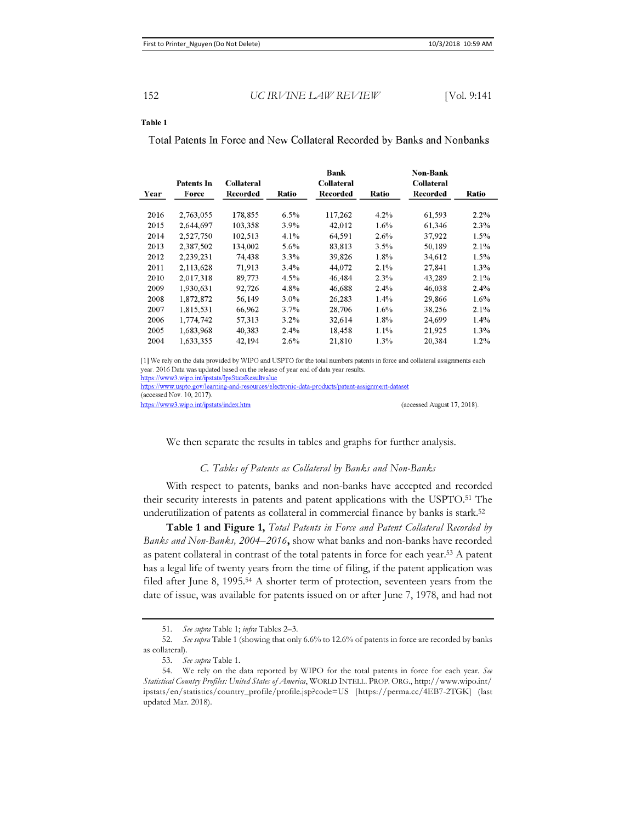#### Table 1

Total Patents In Force and New Collateral Recorded by Banks and Nonbanks

| Year | Patents In<br>Force | Collateral<br>Recorded | Ratio   | <b>Bank</b><br><b>Collateral</b><br>Recorded | Ratio   | <b>Non-Bank</b><br><b>Collateral</b><br>Recorded | Ratio   |
|------|---------------------|------------------------|---------|----------------------------------------------|---------|--------------------------------------------------|---------|
|      |                     |                        |         |                                              |         |                                                  |         |
| 2016 | 2,763,055           | 178,855                | $6.5\%$ | 117,262                                      | $4.2\%$ | 61,593                                           | $2.2\%$ |
| 2015 | 2,644,697           | 103.358                | $3.9\%$ | 42,012                                       | $1.6\%$ | 61,346                                           | $2.3\%$ |
| 2014 | 2.527.750           | 102,513                | 4.1%    | 64.591                                       | $2.6\%$ | 37,922                                           | $1.5\%$ |
| 2013 | 2.387,502           | 134,002                | 5.6%    | 83,813                                       | $3.5\%$ | 50.189                                           | $2.1\%$ |
| 2012 | 2.239,231           | 74,438                 | 3.3%    | 39,826                                       | $1.8\%$ | 34.612                                           | $1.5\%$ |
| 2011 | 2,113,628           | 71,913                 | $3.4\%$ | 44,072                                       | $2.1\%$ | 27,841                                           | 1.3%    |
| 2010 | 2.017.318           | 89,773                 | 4.5%    | 46,484                                       | $2.3\%$ | 43.289                                           | $2.1\%$ |
| 2009 | 1.930.631           | 92,726                 | 4.8%    | 46,688                                       | $2.4\%$ | 46.038                                           | $2.4\%$ |
| 2008 | 1,872,872           | 56.149                 | $3.0\%$ | 26,283                                       | $1.4\%$ | 29,866                                           | $1.6\%$ |
| 2007 | 1,815,531           | 66,962                 | $3.7\%$ | 28,706                                       | $1.6\%$ | 38.256                                           | $2.1\%$ |
| 2006 | 1,774,742           | 57,313                 | $3.2\%$ | 32.614                                       | $1.8\%$ | 24,699                                           | $1.4\%$ |
| 2005 | 1,683,968           | 40,383                 | $2.4\%$ | 18.458                                       | $1.1\%$ | 21,925                                           | 1.3%    |
| 2004 | 1,633,355           | 42,194                 | $2.6\%$ | 21,810                                       | $1.3\%$ | 20,384                                           | $1.2\%$ |

[1] We rely on the data provided by WIPO and USPTO for the total numbers patents in force and collateral assignments each year. 2016 Data was updated based on the release of year end of data year results.

https://www3.wipo.int/ipstats/IpsStatsResultvalue

https://www.uspto.gov/learning-and-resources/electronic-data-products/patent-assignment-dataset

(accessed Nov. 10, 2017).

https://www3.wipo.int/ipstats/index.htm

(accessed August 17, 2018).

We then separate the results in tables and graphs for further analysis.

### *C. Tables of Patents as Collateral by Banks and Non-Banks*

With respect to patents, banks and non-banks have accepted and recorded their security interests in patents and patent applications with the USPTO.51 The underutilization of patents as collateral in commercial finance by banks is stark.52

**Table 1 and Figure 1,** *Total Patents in Force and Patent Collateral Recorded by Banks and Non-Banks, 2004–2016***,** show what banks and non-banks have recorded as patent collateral in contrast of the total patents in force for each year.53 A patent has a legal life of twenty years from the time of filing, if the patent application was filed after June 8, 1995.54 A shorter term of protection, seventeen years from the date of issue, was available for patents issued on or after June 7, 1978, and had not

<sup>51.</sup> *See supra* Table 1; *infra* Tables 2–3.

<sup>52.</sup> *See supra* Table 1 (showing that only 6.6% to 12.6% of patents in force are recorded by banks as collateral).

<sup>53.</sup> *See supra* Table 1.

<sup>54.</sup> We rely on the data reported by WIPO for the total patents in force for each year. *See Statistical Country Profiles: United States of America*, WORLD INTELL. PROP. ORG., http://www.wipo.int/ ipstats/en/statistics/country\_profile/profile.jsp?code=US [https://perma.cc/4EB7-2TGK] (last updated Mar. 2018).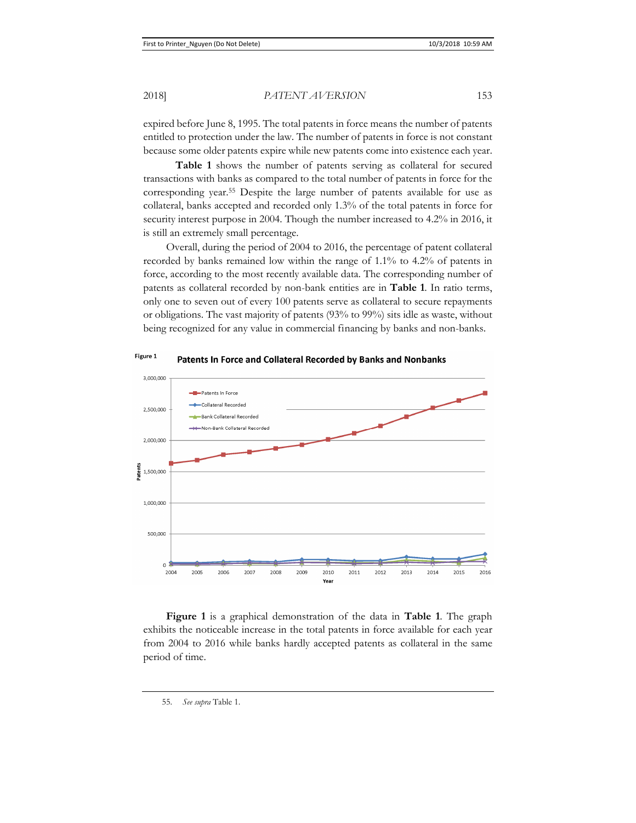expired before June 8, 1995. The total patents in force means the number of patents entitled to protection under the law. The number of patents in force is not constant because some older patents expire while new patents come into existence each year.

**Table 1** shows the number of patents serving as collateral for secured transactions with banks as compared to the total number of patents in force for the corresponding year.55 Despite the large number of patents available for use as collateral, banks accepted and recorded only 1.3% of the total patents in force for security interest purpose in 2004. Though the number increased to 4.2% in 2016, it is still an extremely small percentage.

Overall, during the period of 2004 to 2016, the percentage of patent collateral recorded by banks remained low within the range of 1.1% to 4.2% of patents in force, according to the most recently available data. The corresponding number of patents as collateral recorded by non-bank entities are in **Table 1**. In ratio terms, only one to seven out of every 100 patents serve as collateral to secure repayments or obligations. The vast majority of patents (93% to 99%) sits idle as waste, without being recognized for any value in commercial financing by banks and non-banks.



Figure 1 Patents In Force and Collateral Recorded by Banks and Nonbanks

**Figure 1** is a graphical demonstration of the data in **Table 1**. The graph exhibits the noticeable increase in the total patents in force available for each year from 2004 to 2016 while banks hardly accepted patents as collateral in the same period of time.

<sup>55.</sup> *See supra* Table 1.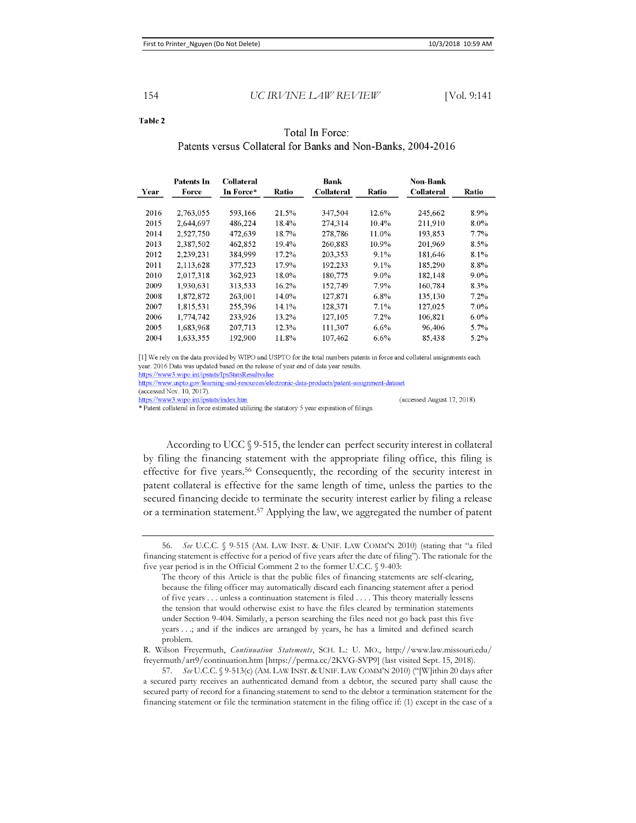(accessed August 17, 2018).

#### Table 2

### Total In Force: Patents versus Collateral for Banks and Non-Banks, 2004-2016

| Year | Patents In<br>Force | <b>Collateral</b><br>In Force* | Ratio | Bank<br><b>Collateral</b> | Ratio    | Non-Bank<br><b>Collateral</b> | Ratio   |
|------|---------------------|--------------------------------|-------|---------------------------|----------|-------------------------------|---------|
|      |                     |                                |       |                           |          |                               |         |
| 2016 | 2,763,055           | 593,166                        | 21.5% | 347,504                   | 12.6%    | 245,662                       | 8.9%    |
| 2015 | 2,644,697           | 486,224                        | 18.4% | 274,314                   | $10.4\%$ | 211,910                       | $8.0\%$ |
| 2014 | 2.527.750           | 472,639                        | 18.7% | 278,786                   | 11.0%    | 193.853                       | $7.7\%$ |
| 2013 | 2.387.502           | 462,852                        | 19.4% | 260,883                   | 10.9%    | 201,969                       | 8.5%    |
| 2012 | 2.239.231           | 384,999                        | 17.2% | 203,353                   | $9.1\%$  | 181,646                       | 8.1%    |
| 2011 | 2,113,628           | 377,523                        | 17.9% | 192,233                   | $9.1\%$  | 185,290                       | 8.8%    |
| 2010 | 2.017.318           | 362,923                        | 18.0% | 180,775                   | $9.0\%$  | 182.148                       | $9.0\%$ |
| 2009 | 1,930,631           | 313,533                        | 16.2% | 152,749                   | 7.9%     | 160,784                       | 8.3%    |
| 2008 | 1,872,872           | 263,001                        | 14.0% | 127,871                   | $6.8\%$  | 135,130                       | $7.2\%$ |
| 2007 | 1,815,531           | 255,396                        | 14.1% | 128.371                   | 7.1%     | 127,025                       | $7.0\%$ |
| 2006 | 1,774,742           | 233,926                        | 13.2% | 127,105                   | $7.2\%$  | 106.821                       | $6.0\%$ |
| 2005 | 1.683.968           | 207,713                        | 12.3% | 111.307                   | $6.6\%$  | 96.406                        | 5.7%    |
| 2004 | 1.633.355           | 192.900                        | 11.8% | 107.462                   | $6.6\%$  | 85,438                        | 5.2%    |

[1] We rely on the data provided by WIPO and USPTO for the total numbers patents in force and collateral assignments each year. 2016 Data was updated based on the release of year end of data year results. https://www3.wipo.int/ipstats/IpsStatsResultvalue

https://www.uspto.gov/learning-and-resources/electronic-data-products/patent-assignment-dataset

(accessed Nov. 10, 2017).

https://www3.wipo.int/ipstats/index.htm

\* Patent collateral in force estimated utilizing the statutory 5 year expiration of filings

According to UCC § 9-515, the lender can perfect security interest in collateral by filing the financing statement with the appropriate filing office, this filing is effective for five years.56 Consequently, the recording of the security interest in patent collateral is effective for the same length of time, unless the parties to the secured financing decide to terminate the security interest earlier by filing a release or a termination statement.57 Applying the law, we aggregated the number of patent

<sup>56.</sup> *See* U.C.C. § 9-515 (AM. LAW INST. & UNIF. LAW COMM'N 2010) (stating that "a filed financing statement is effective for a period of five years after the date of filing"). The rationale for the five year period is in the Official Comment 2 to the former U.C.C. § 9-403:

The theory of this Article is that the public files of financing statements are self-clearing, because the filing officer may automatically discard each financing statement after a period of five years . . . unless a continuation statement is filed . . . . This theory materially lessens the tension that would otherwise exist to have the files cleared by termination statements under Section 9-404. Similarly, a person searching the files need not go back past this five years . . .; and if the indices are arranged by years, he has a limited and defined search problem.

R. Wilson Freyermuth, *Continuation Statements*, SCH. L.: U. MO., http://www.law.missouri.edu/ freyermuth/art9/continuation.htm [https://perma.cc/2KVG-SVP9] (last visited Sept. 15, 2018).

<sup>57.</sup> *See* U.C.C. § 9-513(c) (AM. LAW INST. & UNIF. LAW COMM'N 2010) ("[W]ithin 20 days after a secured party receives an authenticated demand from a debtor, the secured party shall cause the secured party of record for a financing statement to send to the debtor a termination statement for the financing statement or file the termination statement in the filing office if: (1) except in the case of a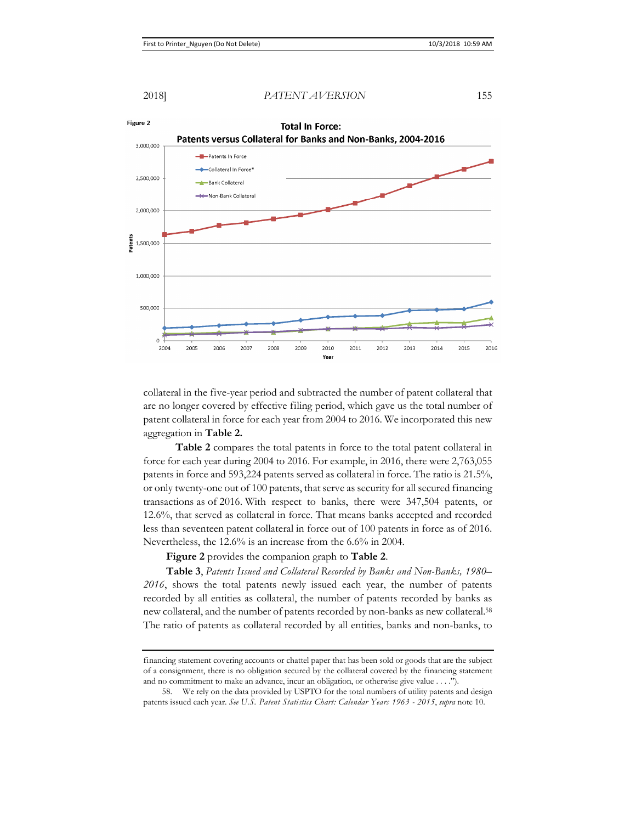

collateral in the five-year period and subtracted the number of patent collateral that are no longer covered by effective filing period, which gave us the total number of patent collateral in force for each year from 2004 to 2016. We incorporated this new aggregation in **Table 2.**

**Table 2** compares the total patents in force to the total patent collateral in force for each year during 2004 to 2016. For example, in 2016, there were 2,763,055 patents in force and 593,224 patents served as collateral in force. The ratio is 21.5%, or only twenty-one out of 100 patents, that serve as security for all secured financing transactions as of 2016. With respect to banks, there were 347,504 patents, or 12.6%, that served as collateral in force. That means banks accepted and recorded less than seventeen patent collateral in force out of 100 patents in force as of 2016. Nevertheless, the 12.6% is an increase from the 6.6% in 2004.

**Figure 2** provides the companion graph to **Table 2**.

**Table 3**, *Patents Issued and Collateral Recorded by Banks and Non-Banks, 1980– 2016*, shows the total patents newly issued each year, the number of patents recorded by all entities as collateral, the number of patents recorded by banks as new collateral, and the number of patents recorded by non-banks as new collateral.58 The ratio of patents as collateral recorded by all entities, banks and non-banks, to

financing statement covering accounts or chattel paper that has been sold or goods that are the subject of a consignment, there is no obligation secured by the collateral covered by the financing statement and no commitment to make an advance, incur an obligation, or otherwise give value . . . .").

<sup>58.</sup> We rely on the data provided by USPTO for the total numbers of utility patents and design patents issued each year. *See U.S. Patent Statistics Chart: Calendar Years 1963 - 2015*, *supra* note 10.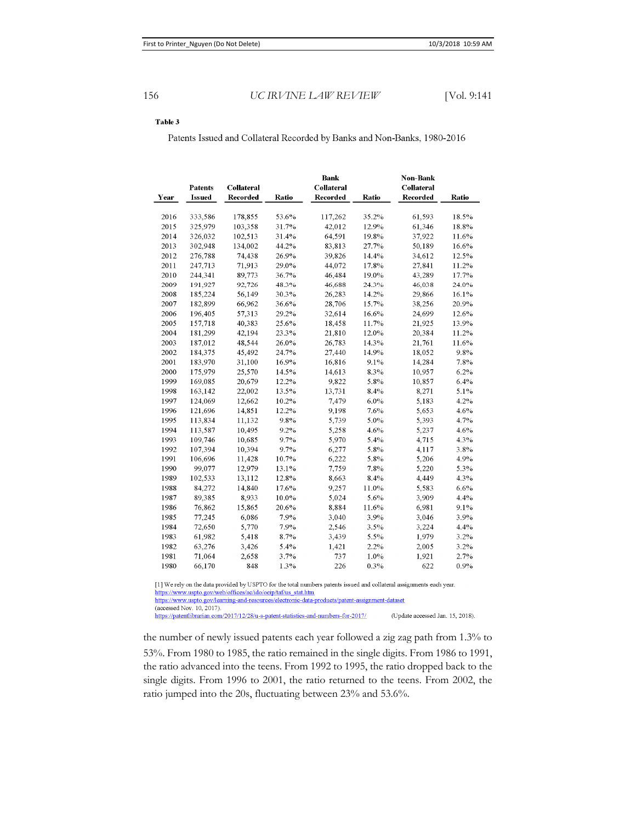### Table 3

Patents Issued and Collateral Recorded by Banks and Non-Banks, 1980-2016

| Year | <b>Patents</b><br><b>Issued</b> | Collateral<br><b>Recorded</b> | Ratio   | <b>Bank</b><br><b>Collateral</b><br><b>Recorded</b> | Ratio   | Non-Bank<br>Collateral<br><b>Recorded</b> | Ratio   |
|------|---------------------------------|-------------------------------|---------|-----------------------------------------------------|---------|-------------------------------------------|---------|
|      |                                 |                               |         |                                                     |         |                                           |         |
| 2016 | 333,586                         | 178,855                       | 53.6%   | 117,262                                             | 35.2%   | 61,593                                    | 18.5%   |
| 2015 | 325,979                         | 103,358                       | 31.7%   | 42,012                                              | 12.9%   | 61,346                                    | 18.8%   |
| 2014 | 326,032                         | 102,513                       | 31.4%   | 64,591                                              | 19.8%   | 37,922                                    | 11.6%   |
| 2013 | 302,948                         | 134,002                       | 44.2%   | 83,813                                              | 27.7%   | 50,189                                    | 16.6%   |
| 2012 | 276,788                         | 74,438                        | 26.9%   | 39,826                                              | 14.4%   | 34,612                                    | 12.5%   |
| 2011 | 247,713                         | 71.913                        | 29.0%   | 44,072                                              | 17.8%   | 27.841                                    | 11.2%   |
| 2010 | 244,341                         | 89,773                        | 36.7%   | 46,484                                              | 19.0%   | 43,289                                    | 17.7%   |
| 2009 | 191,927                         | 92,726                        | 48.3%   | 46,688                                              | 24.3%   | 46,038                                    | 24.0%   |
| 2008 | 185,224                         | 56,149                        | 30.3%   | 26,283                                              | 14.2%   | 29,866                                    | 16.1%   |
| 2007 | 182,899                         | 66,962                        | 36.6%   | 28,706                                              | 15.7%   | 38,256                                    | 20.9%   |
| 2006 | 196,405                         | 57.313                        | 29.2%   | 32,614                                              | 16.6%   | 24,699                                    | 12.6%   |
| 2005 | 157,718                         | 40,383                        | 25.6%   | 18,458                                              | 11.7%   | 21,925                                    | 13.9%   |
| 2004 | 181,299                         | 42.194                        | 23.3%   | 21,810                                              | 12.0%   | 20,384                                    | 11.2%   |
| 2003 | 187,012                         | 48,544                        | 26.0%   | 26,783                                              | 14.3%   | 21,761                                    | 11.6%   |
| 2002 | 184,375                         | 45,492                        | 24.7%   | 27,440                                              | 14.9%   | 18.052                                    | 9.8%    |
| 2001 | 183,970                         | 31,100                        | 16.9%   | 16,816                                              | 9.1%    | 14,284                                    | 7.8%    |
| 2000 | 175,979                         | 25,570                        | 14.5%   | 14,613                                              | 8.3%    | 10.957                                    | 6.2%    |
| 1999 | 169,085                         | 20,679                        | 12.2%   | 9,822                                               | 5.8%    | 10,857                                    | 6.4%    |
| 1998 | 163,142                         | 22,002                        | 13.5%   | 13.731                                              | 8.4%    | 8,271                                     | 5.1%    |
| 1997 | 124,069                         | 12.662                        | 10.2%   | 7.479                                               | $6.0\%$ | 5.183                                     | 4.2%    |
| 1996 | 121,696                         | 14,851                        | 12.2%   | 9,198                                               | 7.6%    | 5,653                                     | 4.6%    |
| 1995 | 113,834                         | 11,132                        | 9.8%    | 5,739                                               | 5.0%    | 5,393                                     | 4.7%    |
| 1994 | 113,587                         | 10,495                        | $9.2\%$ | 5,258                                               | 4.6%    | 5,237                                     | 4.6%    |
| 1993 | 109,746                         | 10.685                        | 9.7%    | 5,970                                               | 5.4%    | 4.715                                     | 4.3%    |
| 1992 | 107,394                         | 10,394                        | 9.7%    | 6,277                                               | 5.8%    | 4,117                                     | 3.8%    |
| 1991 | 106,696                         | 11,428                        | 10.7%   | 6,222                                               | 5.8%    | 5,206                                     | 4.9%    |
| 1990 | 99,077                          | 12,979                        | 13.1%   | 7,759                                               | 7.8%    | 5,220                                     | 5.3%    |
| 1989 | 102,533                         | 13,112                        | 12.8%   | 8.663                                               | 8.4%    | 4,449                                     | 4.3%    |
| 1988 | 84.272                          | 14.840                        | 17.6%   | 9,257                                               | 11.0%   | 5.583                                     | $6.6\%$ |
| 1987 | 89,385                          | 8,933                         | 10.0%   | 5,024                                               | 5.6%    | 3,909                                     | 4.4%    |
| 1986 | 76,862                          | 15,865                        | 20.6%   | 8,884                                               | 11.6%   | 6,981                                     | 9.1%    |
| 1985 | 77.245                          | 6,086                         | 7.9%    | 3,040                                               | 3.9%    | 3.046                                     | 3.9%    |
| 1984 | 72.650                          | 5,770                         | 7.9%    | 2.546                                               | 3.5%    | 3,224                                     | 4.4%    |
| 1983 | 61,982                          | 5,418                         | 8.7%    | 3,439                                               | 5.5%    | 1,979                                     | 3.2%    |
| 1982 | 63,276                          | 3,426                         | 5.4%    | 1,421                                               | 2.2%    | 2,005                                     | 3.2%    |
| 1981 | 71,064                          | 2,658                         | 3.7%    | 737                                                 | 1.0%    | 1.921                                     | 2.7%    |
| 1980 | 66,170                          | 848                           | 1.3%    | 226                                                 | 0.3%    | 622                                       | 0.9%    |

[1] We rely on the data provided by USPTO for the total numbers patents issued and collateral assignments each year. https://www.uspto.gov/web/offices/ac/ido/oeip/taf/us stat.htm

https://www.uspto.gov/learning-and-resources/electronic-data-products/patent-assignment-dataset

(accessed Nov. 10, 2017)

https://patentlibrarian.com/2017/12/28/u-s-patent-statistics-and-numbers-for-2017/ (Update accessed Jan. 15, 2018).

the number of newly issued patents each year followed a zig zag path from 1.3% to 53%. From 1980 to 1985, the ratio remained in the single digits. From 1986 to 1991, the ratio advanced into the teens. From 1992 to 1995, the ratio dropped back to the single digits. From 1996 to 2001, the ratio returned to the teens. From 2002, the ratio jumped into the 20s, fluctuating between 23% and 53.6%.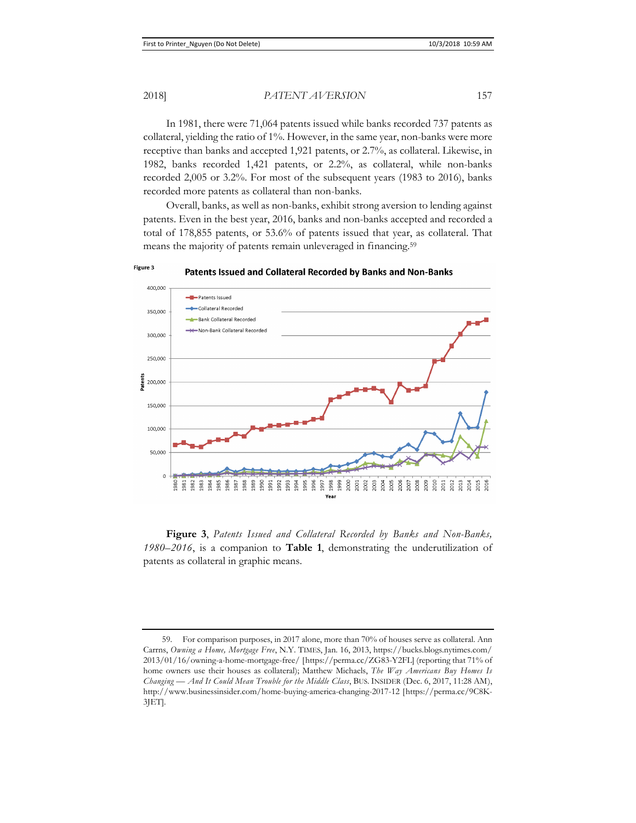In 1981, there were 71,064 patents issued while banks recorded 737 patents as collateral, yielding the ratio of 1%. However, in the same year, non-banks were more receptive than banks and accepted 1,921 patents, or 2.7%, as collateral. Likewise, in 1982, banks recorded 1,421 patents, or 2.2%, as collateral, while non-banks recorded 2,005 or 3.2%. For most of the subsequent years (1983 to 2016), banks recorded more patents as collateral than non-banks.

Overall, banks, as well as non-banks, exhibit strong aversion to lending against patents. Even in the best year, 2016, banks and non-banks accepted and recorded a total of 178,855 patents, or 53.6% of patents issued that year, as collateral. That means the majority of patents remain unleveraged in financing.<sup>59</sup>



Figure 3

Patents Issued and Collateral Recorded by Banks and Non-Banks

**Figure 3**, *Patents Issued and Collateral Recorded by Banks and Non-Banks, 1980–2016*, is a companion to **Table 1**, demonstrating the underutilization of patents as collateral in graphic means.

<sup>59.</sup> For comparison purposes, in 2017 alone, more than 70% of houses serve as collateral. Ann Carrns, *Owning a Home, Mortgage Free*, N.Y. TIMES, Jan. 16, 2013, https://bucks.blogs.nytimes.com/ 2013/01/16/owning-a-home-mortgage-free/ [https://perma.cc/ZG83-Y2FL] (reporting that 71% of home owners use their houses as collateral); Matthew Michaels, *The Way Americans Buy Homes Is Changing — And It Could Mean Trouble for the Middle Class*, BUS. INSIDER (Dec. 6, 2017, 11:28 AM), http://www.businessinsider.com/home-buying-america-changing-2017-12 [https://perma.cc/9C8K-3JET].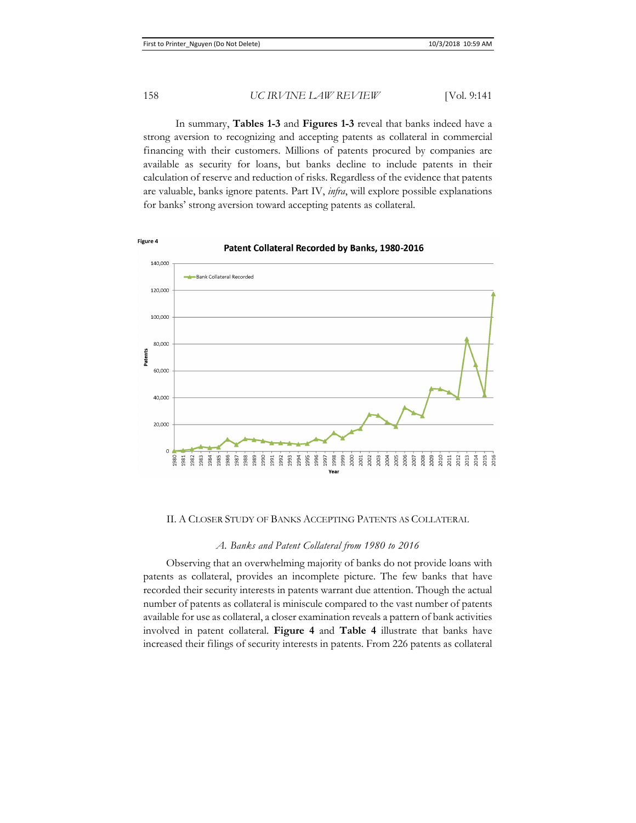In summary, **Tables 1-3** and **Figures 1-3** reveal that banks indeed have a strong aversion to recognizing and accepting patents as collateral in commercial financing with their customers. Millions of patents procured by companies are available as security for loans, but banks decline to include patents in their calculation of reserve and reduction of risks. Regardless of the evidence that patents are valuable, banks ignore patents. Part IV, *infra*, will explore possible explanations for banks' strong aversion toward accepting patents as collateral.



### Patent Collateral Recorded by Banks, 1980-2016

II. A CLOSER STUDY OF BANKS ACCEPTING PATENTS AS COLLATERAL

#### *A. Banks and Patent Collateral from 1980 to 2016*

Observing that an overwhelming majority of banks do not provide loans with patents as collateral, provides an incomplete picture. The few banks that have recorded their security interests in patents warrant due attention. Though the actual number of patents as collateral is miniscule compared to the vast number of patents available for use as collateral, a closer examination reveals a pattern of bank activities involved in patent collateral. **Figure 4** and **Table 4** illustrate that banks have increased their filings of security interests in patents. From 226 patents as collateral

Figure 4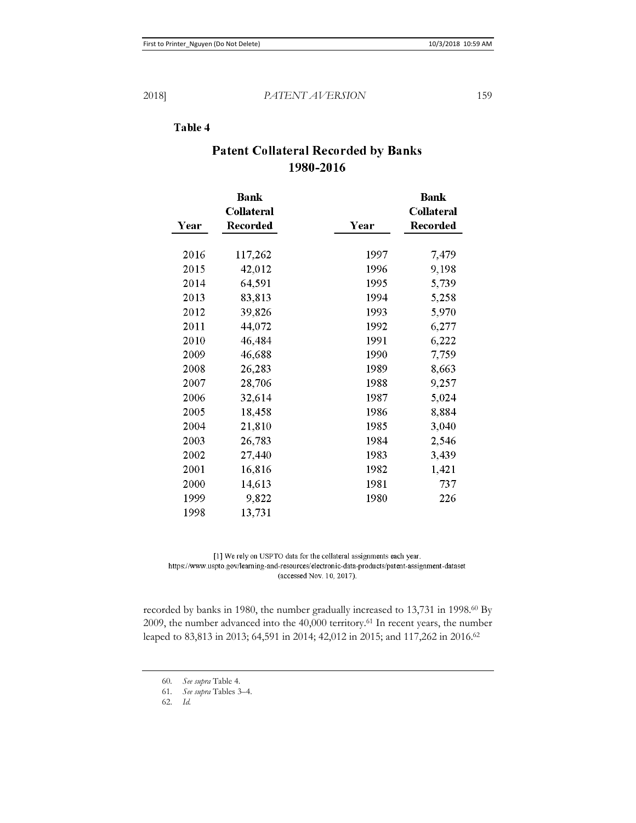### Table 4

|      | <b>Bank</b><br><b>Collateral</b> |      | <b>Bank</b><br><b>Collateral</b> |
|------|----------------------------------|------|----------------------------------|
| Year | Recorded                         | Year | Recorded                         |
| 2016 | 117,262                          | 1997 | 7,479                            |
| 2015 | 42,012                           | 1996 | 9,198                            |
| 2014 | 64,591                           | 1995 | 5,739                            |
| 2013 | 83,813                           | 1994 | 5,258                            |
| 2012 | 39,826                           | 1993 | 5,970                            |
| 2011 | 44,072                           | 1992 | 6,277                            |
|      |                                  |      |                                  |
| 2010 | 46,484                           | 1991 | 6,222                            |
| 2009 | 46,688                           | 1990 | 7,759                            |
| 2008 | 26,283                           | 1989 | 8,663                            |
| 2007 | 28,706                           | 1988 | 9,257                            |
| 2006 | 32,614                           | 1987 | 5,024                            |
| 2005 | 18,458                           | 1986 | 8,884                            |
| 2004 | 21,810                           | 1985 | 3,040                            |
| 2003 | 26,783                           | 1984 | 2,546                            |
| 2002 | 27,440                           | 1983 | 3,439                            |
| 2001 | 16,816                           | 1982 | 1,421                            |
| 2000 | 14,613                           | 1981 | 737                              |
| 1999 | 9,822                            | 1980 | 226                              |
| 1998 | 13,731                           |      |                                  |

## **Patent Collateral Recorded by Banks** 1980-2016

[1] We rely on USPTO data for the collateral assignments each year. https://www.uspto.gov/learning-and-resources/electronic-data-products/patent-assignment-dataset (accessed Nov. 10, 2017).

recorded by banks in 1980, the number gradually increased to 13,731 in 1998.<sup>60</sup> By 2009, the number advanced into the 40,000 territory.61 In recent years, the number leaped to 83,813 in 2013; 64,591 in 2014; 42,012 in 2015; and 117,262 in 2016.62

<sup>60</sup>*. See supra* Table 4.

<sup>61</sup>*. See supra* Tables 3–4.

<sup>62.</sup> *Id.*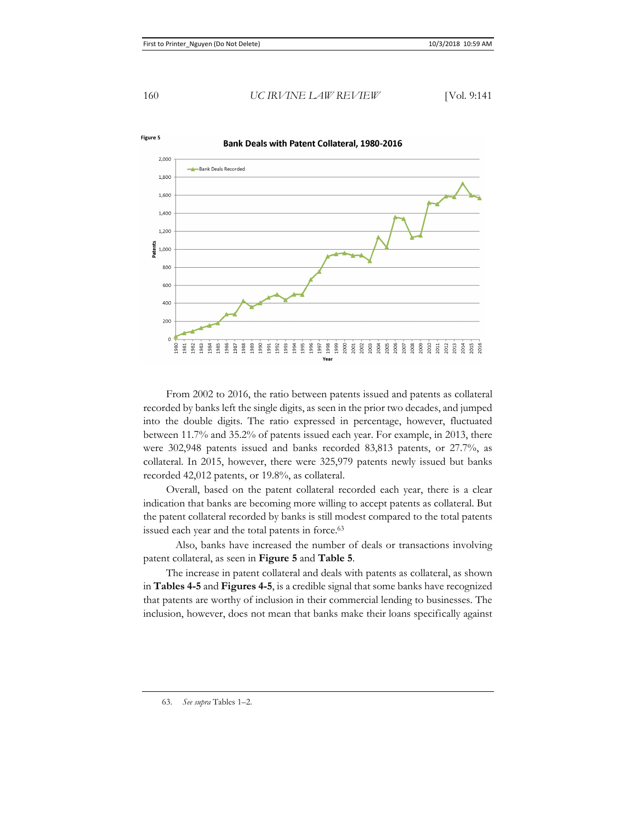

From 2002 to 2016, the ratio between patents issued and patents as collateral recorded by banks left the single digits, as seen in the prior two decades, and jumped into the double digits. The ratio expressed in percentage, however, fluctuated between 11.7% and 35.2% of patents issued each year. For example, in 2013, there were 302,948 patents issued and banks recorded 83,813 patents, or 27.7%, as collateral. In 2015, however, there were 325,979 patents newly issued but banks recorded 42,012 patents, or 19.8%, as collateral.

Overall, based on the patent collateral recorded each year, there is a clear indication that banks are becoming more willing to accept patents as collateral. But the patent collateral recorded by banks is still modest compared to the total patents issued each year and the total patents in force.<sup>63</sup>

 Also, banks have increased the number of deals or transactions involving patent collateral, as seen in **Figure 5** and **Table 5**.

The increase in patent collateral and deals with patents as collateral, as shown in **Tables 4-5** and **Figures 4-5**, is a credible signal that some banks have recognized that patents are worthy of inclusion in their commercial lending to businesses. The inclusion, however, does not mean that banks make their loans specifically against

63. *See supra* Tables 1–2.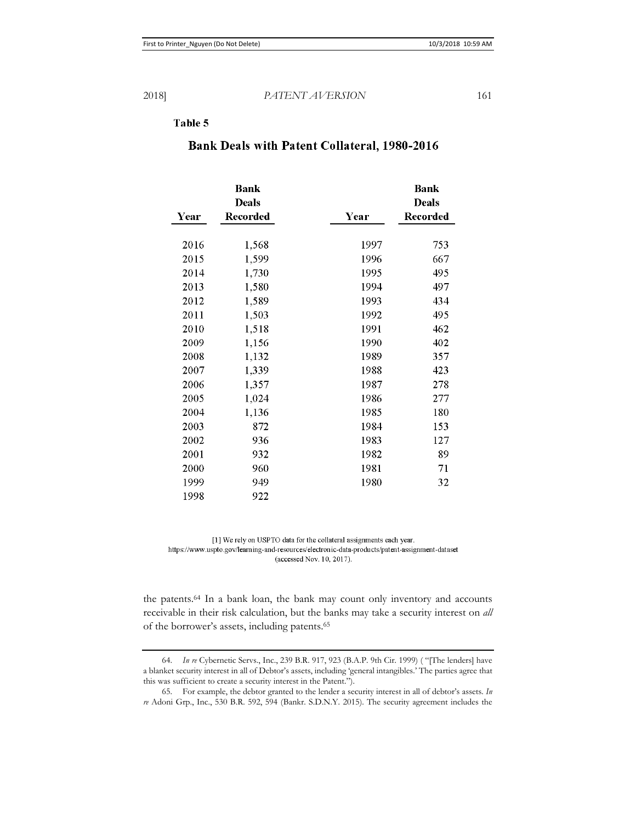### Table 5

|      | <b>Bank</b>              |      | <b>Bank</b>              |
|------|--------------------------|------|--------------------------|
| Year | <b>Deals</b><br>Recorded | Year | <b>Deals</b><br>Recorded |
|      |                          |      |                          |
| 2016 | 1,568                    | 1997 | 753                      |
| 2015 | 1,599                    | 1996 | 667                      |
| 2014 | 1,730                    | 1995 | 495                      |
| 2013 | 1,580                    | 1994 | 497                      |
| 2012 | 1,589                    | 1993 | 434                      |
| 2011 | 1,503                    | 1992 | 495                      |
| 2010 | 1,518                    | 1991 | 462                      |
| 2009 | 1,156                    | 1990 | 402                      |
| 2008 | 1,132                    | 1989 | 357                      |
| 2007 | 1,339                    | 1988 | 423                      |
| 2006 | 1,357                    | 1987 | 278                      |
| 2005 | 1,024                    | 1986 | 277                      |
| 2004 | 1,136                    | 1985 | 180                      |
| 2003 | 872                      | 1984 | 153                      |
| 2002 | 936                      | 1983 | 127                      |
| 2001 | 932                      | 1982 | 89                       |
| 2000 | 960                      | 1981 | 71                       |
| 1999 | 949                      | 1980 | 32                       |
| 1998 | 922                      |      |                          |

### **Bank Deals with Patent Collateral, 1980-2016**

[1] We rely on USPTO data for the collateral assignments each year. https://www.uspto.gov/learning-and-resources/electronic-data-products/patent-assignment-dataset (accessed Nov. 10, 2017).

the patents.64 In a bank loan, the bank may count only inventory and accounts receivable in their risk calculation, but the banks may take a security interest on *all*  of the borrower's assets, including patents.65

<sup>64.</sup> *In re* Cybernetic Servs., Inc., 239 B.R. 917, 923 (B.A.P. 9th Cir. 1999) ( "[The lenders] have a blanket security interest in all of Debtor's assets, including 'general intangibles.' The parties agree that this was sufficient to create a security interest in the Patent.").

<sup>65.</sup> For example, the debtor granted to the lender a security interest in all of debtor's assets. *In re* Adoni Grp., Inc., 530 B.R. 592, 594 (Bankr. S.D.N.Y. 2015). The security agreement includes the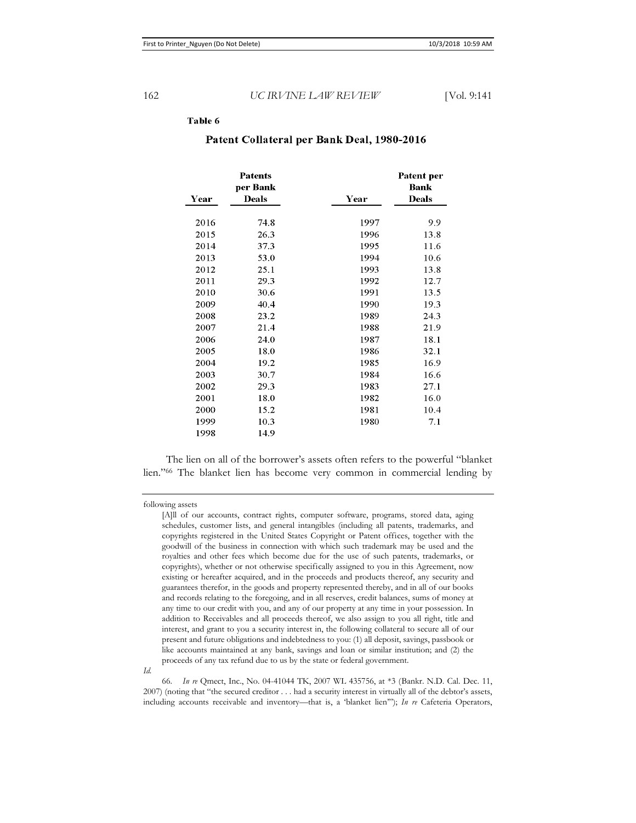#### Table 6

| Year | Patents<br>per Bank<br><b>Deals</b> | Year | Patent per<br>Bank<br><b>Deals</b> |
|------|-------------------------------------|------|------------------------------------|
|      |                                     |      |                                    |
| 2016 | 74.8                                | 1997 | 9.9                                |
| 2015 | 26.3                                | 1996 | 13.8                               |
| 2014 | 37.3                                | 1995 | 11.6                               |
| 2013 | 53.0                                | 1994 | 10.6                               |
| 2012 | 25.1                                | 1993 | 13.8                               |
| 2011 | 29.3                                | 1992 | 12.7                               |
| 2010 | 30.6                                | 1991 | 13.5                               |
| 2009 | 40.4                                | 1990 | 19.3                               |
| 2008 | 23.2                                | 1989 | 24.3                               |
| 2007 | 21.4                                | 1988 | 21.9                               |
| 2006 | 24.0                                | 1987 | 18.1                               |
| 2005 | 18.0                                | 1986 | 32.1                               |
| 2004 | 19.2                                | 1985 | 16.9                               |
| 2003 | 30.7                                | 1984 | 16.6                               |
| 2002 | 29.3                                | 1983 | 27.1                               |
| 2001 | 18.0                                | 1982 | 16.0                               |
| 2000 | 15.2                                | 1981 | 10.4                               |
| 1999 | 10.3                                | 1980 | 7.1                                |
| 1998 | 14.9                                |      |                                    |

### Patent Collateral per Bank Deal, 1980-2016

The lien on all of the borrower's assets often refers to the powerful "blanket lien."66 The blanket lien has become very common in commercial lending by

following assets

*Id.*

66. *In re* Qmect, Inc., No. 04-41044 TK, 2007 WL 435756, at \*3 (Bankr. N.D. Cal. Dec. 11, 2007) (noting that "the secured creditor . . . had a security interest in virtually all of the debtor's assets, including accounts receivable and inventory—that is, a 'blanket lien'"); *In re* Cafeteria Operators,

<sup>[</sup>A]ll of our accounts, contract rights, computer software, programs, stored data, aging schedules, customer lists, and general intangibles (including all patents, trademarks, and copyrights registered in the United States Copyright or Patent offices, together with the goodwill of the business in connection with which such trademark may be used and the royalties and other fees which become due for the use of such patents, trademarks, or copyrights), whether or not otherwise specifically assigned to you in this Agreement, now existing or hereafter acquired, and in the proceeds and products thereof, any security and guarantees therefor, in the goods and property represented thereby, and in all of our books and records relating to the foregoing, and in all reserves, credit balances, sums of money at any time to our credit with you, and any of our property at any time in your possession. In addition to Receivables and all proceeds thereof, we also assign to you all right, title and interest, and grant to you a security interest in, the following collateral to secure all of our present and future obligations and indebtedness to you: (1) all deposit, savings, passbook or like accounts maintained at any bank, savings and loan or similar institution; and (2) the proceeds of any tax refund due to us by the state or federal government.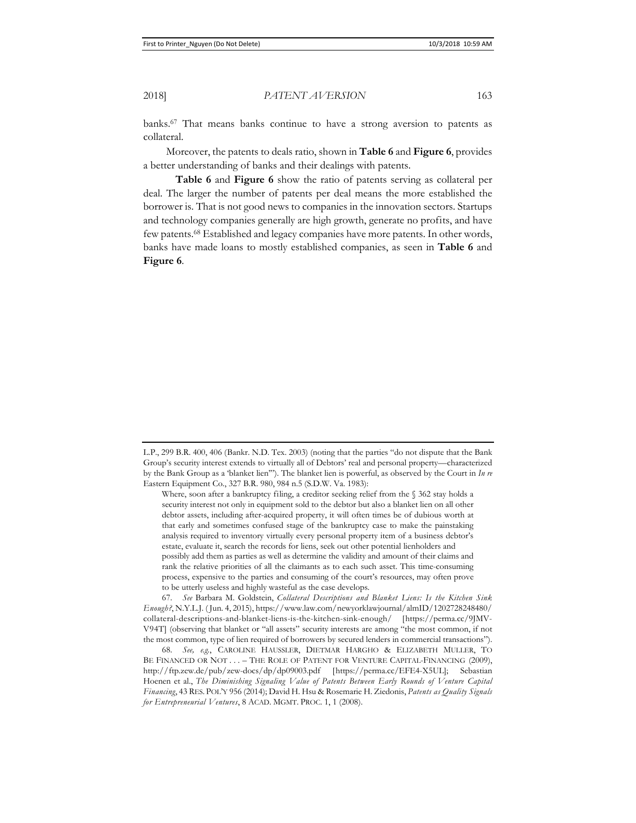banks.67 That means banks continue to have a strong aversion to patents as collateral.

Moreover, the patents to deals ratio, shown in **Table 6** and **Figure 6**, provides a better understanding of banks and their dealings with patents.

**Table 6** and **Figure 6** show the ratio of patents serving as collateral per deal. The larger the number of patents per deal means the more established the borrower is. That is not good news to companies in the innovation sectors. Startups and technology companies generally are high growth, generate no profits, and have few patents.68 Established and legacy companies have more patents. In other words, banks have made loans to mostly established companies, as seen in **Table 6** and **Figure 6**.

L.P., 299 B.R. 400, 406 (Bankr. N.D. Tex. 2003) (noting that the parties "do not dispute that the Bank Group's security interest extends to virtually all of Debtors' real and personal property—characterized by the Bank Group as a 'blanket lien'"). The blanket lien is powerful, as observed by the Court in *In re* Eastern Equipment Co*.*, 327 B.R. 980, 984 n.5 (S.D.W. Va. 1983):

Where, soon after a bankruptcy filing, a creditor seeking relief from the § 362 stay holds a security interest not only in equipment sold to the debtor but also a blanket lien on all other debtor assets, including after-acquired property, it will often times be of dubious worth at that early and sometimes confused stage of the bankruptcy case to make the painstaking analysis required to inventory virtually every personal property item of a business debtor's estate, evaluate it, search the records for liens, seek out other potential lienholders and possibly add them as parties as well as determine the validity and amount of their claims and rank the relative priorities of all the claimants as to each such asset. This time-consuming process, expensive to the parties and consuming of the court's resources, may often prove to be utterly useless and highly wasteful as the case develops.

<sup>67.</sup> *See* Barbara M. Goldstein, *Collateral Descriptions and Blanket Liens: Is the Kitchen Sink Enough?*, N.Y.L.J. ( Jun. 4, 2015), https://www.law.com/newyorklawjournal/almID/1202728248480/ collateral-descriptions-and-blanket-liens-is-the-kitchen-sink-enough/ [https://perma.cc/9JMV-V94T] (observing that blanket or "all assets" security interests are among "the most common, if not the most common, type of lien required of borrowers by secured lenders in commercial transactions").

<sup>68.</sup> *See, e.g.*, CAROLINE HAUSSLER, DIETMAR HARGHO & ELIZABETH MULLER, TO BE FINANCED OR NOT . . . – THE ROLE OF PATENT FOR VENTURE CAPITAL-FINANCING (2009), http://ftp.zew.de/pub/zew-docs/dp/dp09003.pdf [https://perma.cc/EFE4-X5UL]; Sebastian Hoenen et al., *The Diminishing Signaling Value of Patents Between Early Rounds of Venture Capital Financing*, 43 RES. POL'Y 956 (2014); David H. Hsu & Rosemarie H. Ziedonis, *Patents as Quality Signals for Entrepreneurial Ventures*, 8 ACAD. MGMT. PROC. 1, 1 (2008).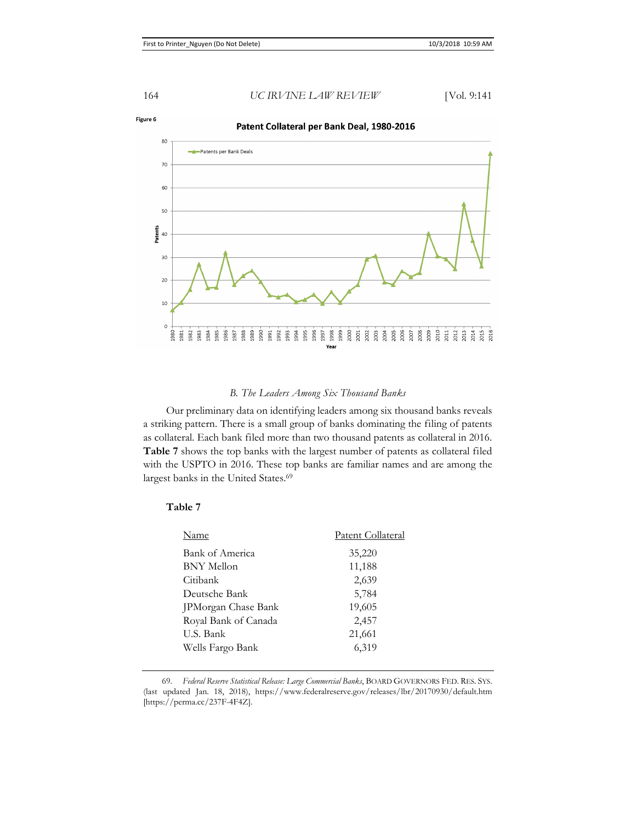

#### Patent Collateral per Bank Deal, 1980-2016



### *B. The Leaders Among Six Thousand Banks*

Our preliminary data on identifying leaders among six thousand banks reveals a striking pattern. There is a small group of banks dominating the filing of patents as collateral. Each bank filed more than two thousand patents as collateral in 2016. **Table 7** shows the top banks with the largest number of patents as collateral filed with the USPTO in 2016. These top banks are familiar names and are among the largest banks in the United States.<sup>69</sup>

### **Table 7**

| Name                 | Patent Collateral |
|----------------------|-------------------|
| Bank of America      | 35,220            |
| <b>BNY</b> Mellon    | 11,188            |
| Citibank             | 2,639             |
| Deutsche Bank        | 5,784             |
| JPMorgan Chase Bank  | 19,605            |
| Royal Bank of Canada | 2,457             |
| U.S. Bank            | 21,661            |
| Wells Fargo Bank     | 6,319             |

69. *Federal Reserve Statistical Release: Large Commercial Banks*, BOARD GOVERNORS FED. RES. SYS. (last updated Jan. 18, 2018), https://www.federalreserve.gov/releases/lbr/20170930/default.htm [https://perma.cc/237F-4F4Z].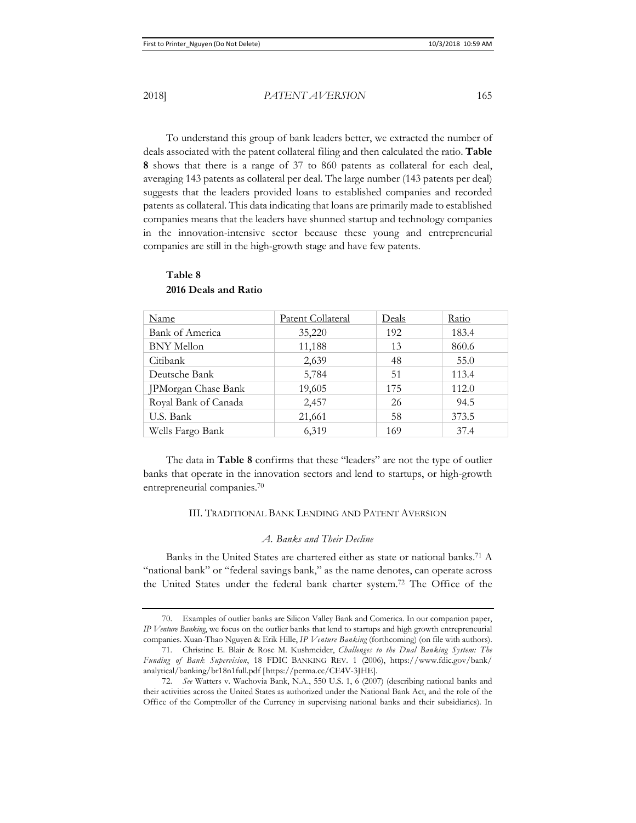2018] *PATENT AVERSION* 165

To understand this group of bank leaders better, we extracted the number of deals associated with the patent collateral filing and then calculated the ratio. **Table 8** shows that there is a range of 37 to 860 patents as collateral for each deal, averaging 143 patents as collateral per deal. The large number (143 patents per deal) suggests that the leaders provided loans to established companies and recorded patents as collateral. This data indicating that loans are primarily made to established companies means that the leaders have shunned startup and technology companies in the innovation-intensive sector because these young and entrepreneurial companies are still in the high-growth stage and have few patents.

| Name                 | <b>Patent Collateral</b> | Deals | Ratio |
|----------------------|--------------------------|-------|-------|
| Bank of America      | 35,220                   | 192   | 183.4 |
| <b>BNY</b> Mellon    | 11,188                   | 13    | 860.6 |
| Citibank             | 2,639                    | 48    | 55.0  |
| Deutsche Bank        | 5,784                    | 51    | 113.4 |
| JPMorgan Chase Bank  | 19,605                   | 175   | 112.0 |
| Royal Bank of Canada | 2,457                    | 26    | 94.5  |
| U.S. Bank            | 21,661                   | 58    | 373.5 |
| Wells Fargo Bank     | 6,319                    | 169   | 37.4  |

### **Table 8 2016 Deals and Ratio**

The data in **Table 8** confirms that these "leaders" are not the type of outlier banks that operate in the innovation sectors and lend to startups, or high-growth entrepreneurial companies.70

### III. TRADITIONAL BANK LENDING AND PATENT AVERSION

### *A. Banks and Their Decline*

Banks in the United States are chartered either as state or national banks.<sup>71</sup> A "national bank" or "federal savings bank," as the name denotes, can operate across the United States under the federal bank charter system.72 The Office of the

<sup>70.</sup> Examples of outlier banks are Silicon Valley Bank and Comerica. In our companion paper, *IP Venture Banking*, we focus on the outlier banks that lend to startups and high growth entrepreneurial companies. Xuan-Thao Nguyen & Erik Hille, *IP Venture Banking* (forthcoming) (on file with authors).

<sup>71.</sup> Christine E. Blair & Rose M. Kushmeider, *Challenges to the Dual Banking System: The Funding of Bank Supervision*, 18 FDIC BANKING REV. 1 (2006), https://www.fdic.gov/bank/ analytical/banking/br18n1full.pdf [https://perma.cc/CE4V-3JHE].

<sup>72.</sup> *See* Watters v. Wachovia Bank, N.A., 550 U.S. 1, 6 (2007) (describing national banks and their activities across the United States as authorized under the National Bank Act, and the role of the Office of the Comptroller of the Currency in supervising national banks and their subsidiaries). In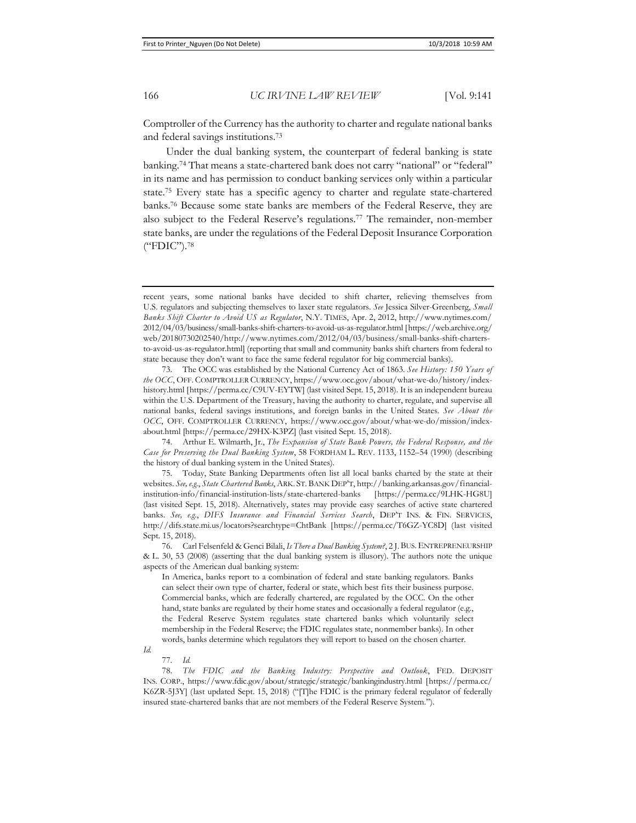Comptroller of the Currency has the authority to charter and regulate national banks and federal savings institutions.73

Under the dual banking system, the counterpart of federal banking is state banking.74 That means a state-chartered bank does not carry "national" or "federal" in its name and has permission to conduct banking services only within a particular state.75 Every state has a specific agency to charter and regulate state-chartered banks.76 Because some state banks are members of the Federal Reserve, they are also subject to the Federal Reserve's regulations.77 The remainder, non-member state banks, are under the regulations of the Federal Deposit Insurance Corporation ("FDIC").78

73. The OCC was established by the National Currency Act of 1863. *See History: 150 Years of the OCC*, OFF. COMPTROLLER CURRENCY, https://www.occ.gov/about/what-we-do/history/indexhistory.html [https://perma.cc/C9UV-EYTW] (last visited Sept. 15, 2018). It is an independent bureau within the U.S. Department of the Treasury, having the authority to charter, regulate, and supervise all national banks, federal savings institutions, and foreign banks in the United States. *See About the OCC*, OFF. COMPTROLLER CURRENCY, https://www.occ.gov/about/what-we-do/mission/indexabout.html [https://perma.cc/29HX-K3PZ] (last visited Sept. 15, 2018).

74. Arthur E. Wilmarth, Jr., *The Expansion of State Bank Powers, the Federal Response, and the Case for Preserving the Dual Banking System*, 58 FORDHAM L. REV. 1133, 1152–54 (1990) (describing the history of dual banking system in the United States).

75. Today, State Banking Departments often list all local banks charted by the state at their websites. *See, e.g.*, *State Chartered Banks*, ARK. ST. BANK DEP'T, http://banking.arkansas.gov/financialinstitution-info/financial-institution-lists/state-chartered-banks [https://perma.cc/9LHK-HG8U] (last visited Sept. 15, 2018). Alternatively, states may provide easy searches of active state chartered banks. *See, e.g.*, *DIFS Insurance and Financial Services Search*, DEP'T INS. & FIN. SERVICES, http://difs.state.mi.us/locators?searchtype=ChtBank [https://perma.cc/T6GZ-YC8D] (last visited Sept. 15, 2018).

76. Carl Felsenfeld & Genci Bilali, *Is There a Dual Banking System?*, 2 J. BUS.ENTREPRENEURSHIP & L. 30, 53 (2008) (asserting that the dual banking system is illusory). The authors note the unique aspects of the American dual banking system:

In America, banks report to a combination of federal and state banking regulators. Banks can select their own type of charter, federal or state, which best fits their business purpose. Commercial banks, which are federally chartered, are regulated by the OCC. On the other hand, state banks are regulated by their home states and occasionally a federal regulator (e.g., the Federal Reserve System regulates state chartered banks which voluntarily select membership in the Federal Reserve; the FDIC regulates state, nonmember banks). In other words, banks determine which regulators they will report to based on the chosen charter.

*Id.*

77. *Id.*

78. *The FDIC and the Banking Industry: Perspective and Outlook*, FED. DEPOSIT INS. CORP., https://www.fdic.gov/about/strategic/strategic/bankingindustry.html [https://perma.cc/ K6ZR-5J3Y] (last updated Sept. 15, 2018) ("[T]he FDIC is the primary federal regulator of federally insured state-chartered banks that are not members of the Federal Reserve System.").

recent years, some national banks have decided to shift charter, relieving themselves from U.S. regulators and subjecting themselves to laxer state regulators. *See* Jessica Silver-Greenberg, *Small Banks Shift Charter to Avoid US as Regulator*, N.Y. TIMES, Apr. 2, 2012, http://www.nytimes.com/ 2012/04/03/business/small-banks-shift-charters-to-avoid-us-as-regulator.html [https://web.archive.org/ web/20180730202540/http://www.nytimes.com/2012/04/03/business/small-banks-shift-chartersto-avoid-us-as-regulator.html] (reporting that small and community banks shift charters from federal to state because they don't want to face the same federal regulator for big commercial banks).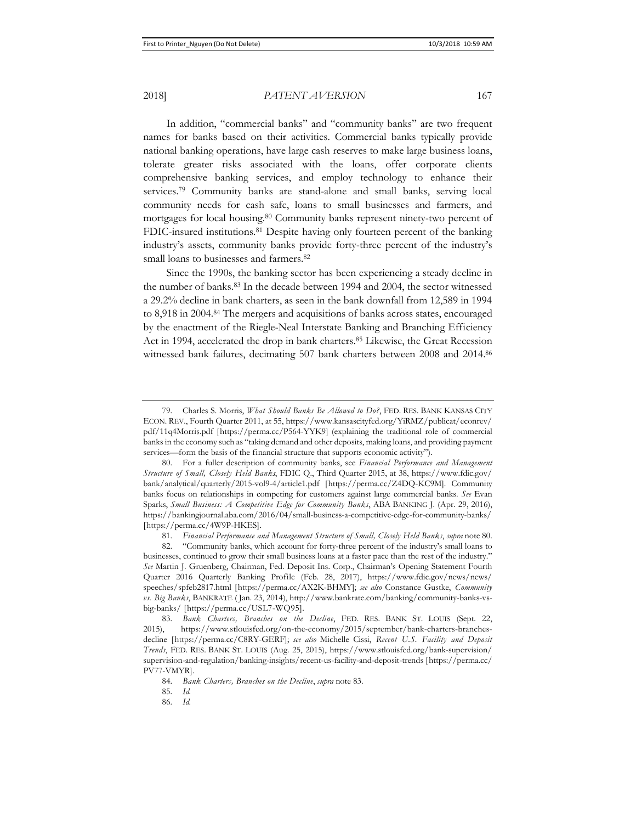2018] *PATENT AVERSION* 167

In addition, "commercial banks" and "community banks" are two frequent names for banks based on their activities. Commercial banks typically provide national banking operations, have large cash reserves to make large business loans, tolerate greater risks associated with the loans, offer corporate clients comprehensive banking services, and employ technology to enhance their services.79 Community banks are stand-alone and small banks, serving local community needs for cash safe, loans to small businesses and farmers, and mortgages for local housing.80 Community banks represent ninety-two percent of FDIC-insured institutions.<sup>81</sup> Despite having only fourteen percent of the banking industry's assets, community banks provide forty-three percent of the industry's small loans to businesses and farmers.<sup>82</sup>

Since the 1990s, the banking sector has been experiencing a steady decline in the number of banks.83 In the decade between 1994 and 2004, the sector witnessed a 29.2% decline in bank charters, as seen in the bank downfall from 12,589 in 1994 to 8,918 in 2004.84 The mergers and acquisitions of banks across states, encouraged by the enactment of the Riegle-Neal Interstate Banking and Branching Efficiency Act in 1994, accelerated the drop in bank charters.<sup>85</sup> Likewise, the Great Recession witnessed bank failures, decimating 507 bank charters between 2008 and 2014.86

81. *Financial Performance and Management Structure of Small, Closely Held Banks*, *supra* note 80.

<sup>79.</sup> Charles S. Morris, *What Should Banks Be Allowed to Do?*, FED. RES. BANK KANSAS CITY ECON. REV., Fourth Quarter 2011, at 55, https://www.kansascityfed.org/YiRMZ/publicat/econrev/ pdf/11q4Morris.pdf [https://perma.cc/P564-YYK9] (explaining the traditional role of commercial banks in the economy such as "taking demand and other deposits, making loans, and providing payment services—form the basis of the financial structure that supports economic activity").

<sup>80.</sup> For a fuller description of community banks, see *Financial Performance and Management Structure of Small, Closely Held Banks*, FDIC Q., Third Quarter 2015, at 38, https://www.fdic.gov/ bank/analytical/quarterly/2015-vol9-4/article1.pdf [https://perma.cc/Z4DQ-KC9M]. Community banks focus on relationships in competing for customers against large commercial banks. *See* Evan Sparks, *Small Business: A Competitive Edge for Community Banks*, ABA BANKING J. (Apr. 29, 2016), https://bankingjournal.aba.com/2016/04/small-business-a-competitive-edge-for-community-banks/ [https://perma.cc/4W9P-HKES].

<sup>82. &</sup>quot;Community banks, which account for forty-three percent of the industry's small loans to businesses, continued to grow their small business loans at a faster pace than the rest of the industry." *See* Martin J. Gruenberg, Chairman, Fed. Deposit Ins. Corp., Chairman's Opening Statement Fourth Quarter 2016 Quarterly Banking Profile (Feb. 28, 2017), https://www.fdic.gov/news/news/ speeches/spfeb2817.html [https://perma.cc/AX2K-BHMY]; *see also* Constance Gustke, *Community vs. Big Banks*, BANKRATE ( Jan. 23, 2014), http://www.bankrate.com/banking/community-banks-vsbig-banks/ [https://perma.cc/USL7-WQ95].

<sup>83.</sup> *Bank Charters, Branches on the Decline*, FED. RES. BANK ST. LOUIS (Sept. 22, 2015), https://www.stlouisfed.org/on-the-economy/2015/september/bank-charters-branchesdecline [https://perma.cc/C8RY-GERF]; *see also* Michelle Cissi, *Recent U.S. Facility and Deposit Trends*, FED. RES. BANK ST. LOUIS (Aug. 25, 2015), https://www.stlouisfed.org/bank-supervision/ supervision-and-regulation/banking-insights/recent-us-facility-and-deposit-trends [https://perma.cc/ PV77-VMYR].

<sup>84.</sup> *Bank Charters, Branches on the Decline*, *supra* note 83.

<sup>85.</sup> *Id.*

<sup>86.</sup> *Id.*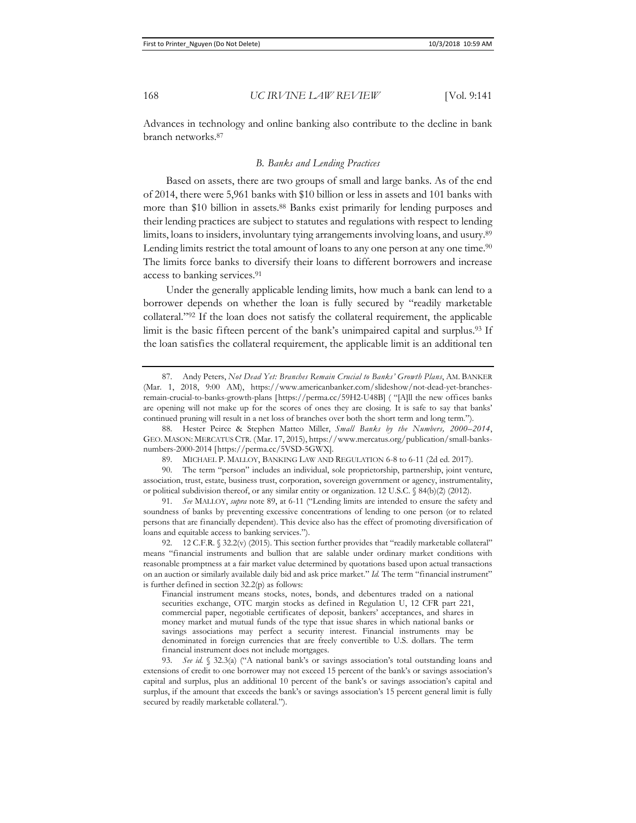Advances in technology and online banking also contribute to the decline in bank branch networks.87

### *B. Banks and Lending Practices*

Based on assets, there are two groups of small and large banks. As of the end of 2014, there were 5,961 banks with \$10 billion or less in assets and 101 banks with more than \$10 billion in assets.88 Banks exist primarily for lending purposes and their lending practices are subject to statutes and regulations with respect to lending limits, loans to insiders, involuntary tying arrangements involving loans, and usury.89 Lending limits restrict the total amount of loans to any one person at any one time.<sup>90</sup> The limits force banks to diversify their loans to different borrowers and increase access to banking services.91

Under the generally applicable lending limits, how much a bank can lend to a borrower depends on whether the loan is fully secured by "readily marketable collateral."92 If the loan does not satisfy the collateral requirement, the applicable limit is the basic fifteen percent of the bank's unimpaired capital and surplus.<sup>93</sup> If the loan satisfies the collateral requirement, the applicable limit is an additional ten

88. Hester Peirce & Stephen Matteo Miller, *Small Banks by the Numbers, 2000–2014*, GEO. MASON: MERCATUS CTR. (Mar. 17, 2015), https://www.mercatus.org/publication/small-banksnumbers-2000-2014 [https://perma.cc/5VSD-5GWX].

91. *See* MALLOY, *supra* note 89, at 6-11 ("Lending limits are intended to ensure the safety and soundness of banks by preventing excessive concentrations of lending to one person (or to related persons that are financially dependent). This device also has the effect of promoting diversification of loans and equitable access to banking services.").

92. 12 C.F.R. § 32.2(v) (2015). This section further provides that "readily marketable collateral" means "financial instruments and bullion that are salable under ordinary market conditions with reasonable promptness at a fair market value determined by quotations based upon actual transactions on an auction or similarly available daily bid and ask price market." *Id.* The term "financial instrument" is further defined in section 32.2(p) as follows:

Financial instrument means stocks, notes, bonds, and debentures traded on a national securities exchange, OTC margin stocks as defined in Regulation U, 12 CFR part 221, commercial paper, negotiable certificates of deposit, bankers' acceptances, and shares in money market and mutual funds of the type that issue shares in which national banks or savings associations may perfect a security interest. Financial instruments may be denominated in foreign currencies that are freely convertible to U.S. dollars. The term financial instrument does not include mortgages.

93. *See id.* § 32.3(a) ("A national bank's or savings association's total outstanding loans and extensions of credit to one borrower may not exceed 15 percent of the bank's or savings association's capital and surplus, plus an additional 10 percent of the bank's or savings association's capital and surplus, if the amount that exceeds the bank's or savings association's 15 percent general limit is fully secured by readily marketable collateral.").

<sup>87.</sup> Andy Peters, *Not Dead Yet: Branches Remain Crucial to Banks' Growth Plans*, AM. BANKER (Mar. 1, 2018, 9:00 AM), https://www.americanbanker.com/slideshow/not-dead-yet-branchesremain-crucial-to-banks-growth-plans [https://perma.cc/59H2-U48B] ( "[A]ll the new offices banks are opening will not make up for the scores of ones they are closing. It is safe to say that banks' continued pruning will result in a net loss of branches over both the short term and long term.").

<sup>89.</sup> MICHAEL P. MALLOY, BANKING LAW AND REGULATION 6-8 to 6-11 (2d ed. 2017).

<sup>90.</sup> The term "person" includes an individual, sole proprietorship, partnership, joint venture, association, trust, estate, business trust, corporation, sovereign government or agency, instrumentality, or political subdivision thereof, or any similar entity or organization. 12 U.S.C. § 84(b)(2) (2012).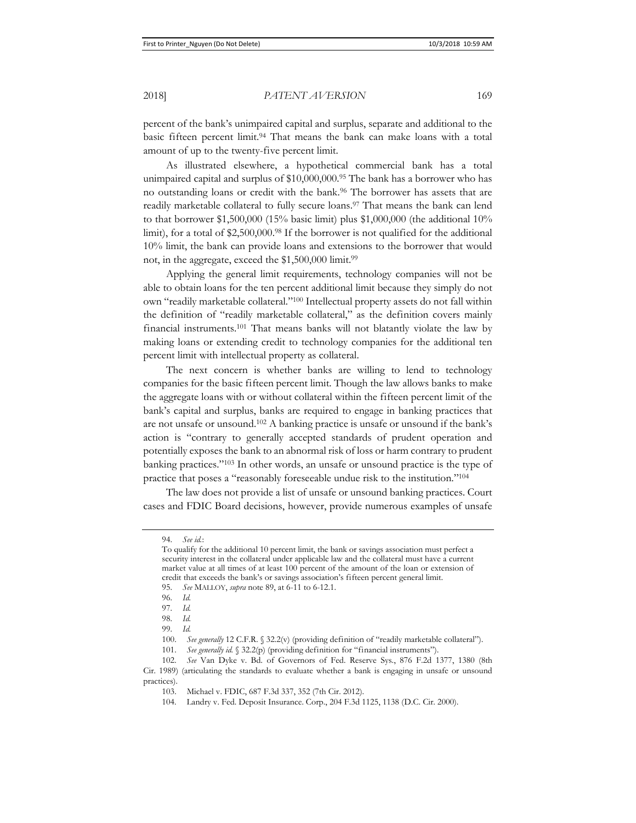percent of the bank's unimpaired capital and surplus, separate and additional to the basic fifteen percent limit.94 That means the bank can make loans with a total amount of up to the twenty-five percent limit.

As illustrated elsewhere, a hypothetical commercial bank has a total unimpaired capital and surplus of \$10,000,000.95 The bank has a borrower who has no outstanding loans or credit with the bank.96 The borrower has assets that are readily marketable collateral to fully secure loans.97 That means the bank can lend to that borrower  $$1,500,000$  (15% basic limit) plus  $$1,000,000$  (the additional 10% limit), for a total of  $$2,500,000$ .<sup>98</sup> If the borrower is not qualified for the additional 10% limit, the bank can provide loans and extensions to the borrower that would not, in the aggregate, exceed the \$1,500,000 limit.<sup>99</sup>

Applying the general limit requirements, technology companies will not be able to obtain loans for the ten percent additional limit because they simply do not own "readily marketable collateral."100 Intellectual property assets do not fall within the definition of "readily marketable collateral," as the definition covers mainly financial instruments.101 That means banks will not blatantly violate the law by making loans or extending credit to technology companies for the additional ten percent limit with intellectual property as collateral.

The next concern is whether banks are willing to lend to technology companies for the basic fifteen percent limit. Though the law allows banks to make the aggregate loans with or without collateral within the fifteen percent limit of the bank's capital and surplus, banks are required to engage in banking practices that are not unsafe or unsound.102 A banking practice is unsafe or unsound if the bank's action is "contrary to generally accepted standards of prudent operation and potentially exposes the bank to an abnormal risk of loss or harm contrary to prudent banking practices."103 In other words, an unsafe or unsound practice is the type of practice that poses a "reasonably foreseeable undue risk to the institution."104

The law does not provide a list of unsafe or unsound banking practices. Court cases and FDIC Board decisions, however, provide numerous examples of unsafe

<sup>94.</sup> *See id.*:

To qualify for the additional 10 percent limit, the bank or savings association must perfect a security interest in the collateral under applicable law and the collateral must have a current market value at all times of at least 100 percent of the amount of the loan or extension of credit that exceeds the bank's or savings association's fifteen percent general limit.

<sup>95.</sup> *See* MALLOY, *supra* note 89, at 6-11 to 6-12.1.

<sup>96.</sup> *Id.*

<sup>97.</sup> *Id.*

<sup>98.</sup> *Id.*

<sup>99.</sup> *Id.*

<sup>100.</sup> *See generally* 12 C.F.R. § 32.2(v) (providing definition of "readily marketable collateral").

<sup>101.</sup> *See generally id.* § 32.2(p) (providing definition for "financial instruments").

<sup>102.</sup> *See* Van Dyke v. Bd. of Governors of Fed. Reserve Sys., 876 F.2d 1377, 1380 (8th Cir. 1989) (articulating the standards to evaluate whether a bank is engaging in unsafe or unsound practices).

<sup>103.</sup> Michael v. FDIC, 687 F.3d 337, 352 (7th Cir. 2012).

<sup>104.</sup> Landry v. Fed. Deposit Insurance. Corp., 204 F.3d 1125, 1138 (D.C. Cir. 2000).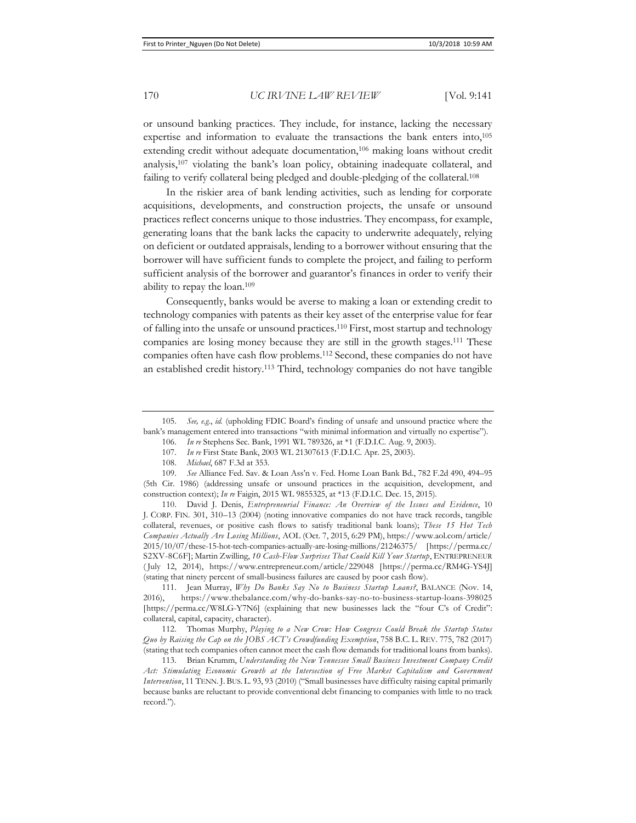or unsound banking practices. They include, for instance, lacking the necessary expertise and information to evaluate the transactions the bank enters into,105 extending credit without adequate documentation,<sup>106</sup> making loans without credit analysis,107 violating the bank's loan policy, obtaining inadequate collateral, and failing to verify collateral being pledged and double-pledging of the collateral.<sup>108</sup>

In the riskier area of bank lending activities, such as lending for corporate acquisitions, developments, and construction projects, the unsafe or unsound practices reflect concerns unique to those industries. They encompass, for example, generating loans that the bank lacks the capacity to underwrite adequately, relying on deficient or outdated appraisals, lending to a borrower without ensuring that the borrower will have sufficient funds to complete the project, and failing to perform sufficient analysis of the borrower and guarantor's finances in order to verify their ability to repay the loan.109

Consequently, banks would be averse to making a loan or extending credit to technology companies with patents as their key asset of the enterprise value for fear of falling into the unsafe or unsound practices.110 First, most startup and technology companies are losing money because they are still in the growth stages.111 These companies often have cash flow problems.112 Second, these companies do not have an established credit history.113 Third, technology companies do not have tangible

110. David J. Denis, *Entrepreneurial Finance: An Overview of the Issues and Evidence*, 10 J. CORP. FIN. 301, 310–13 (2004) (noting innovative companies do not have track records, tangible collateral, revenues, or positive cash flows to satisfy traditional bank loans); *These 15 Hot Tech Companies Actually Are Losing Millions*, AOL (Oct. 7, 2015, 6:29 PM), https://www.aol.com/article/ 2015/10/07/these-15-hot-tech-companies-actually-are-losing-millions/21246375/ [https://perma.cc/ S2XV-8C6F]; Martin Zwilling, *10 Cash-Flow Surprises That Could Kill Your Startup*, ENTREPRENEUR ( July 12, 2014), https://www.entrepreneur.com/article/229048 [https://perma.cc/RM4G-YS4J] (stating that ninety percent of small-business failures are caused by poor cash flow).

111. Jean Murray, *Why Do Banks Say No to Business Startup Loans?*, BALANCE (Nov. 14, 2016), https://www.thebalance.com/why-do-banks-say-no-to-business-startup-loans-398025 [https://perma.cc/W8LG-Y7N6] (explaining that new businesses lack the "four C's of Credit": collateral, capital, capacity, character).

112. Thomas Murphy, *Playing to a New Crow: How Congress Could Break the Startup Status Quo by Raising the Cap on the JOBS ACT's Crowdfunding Exemption*, 758 B.C. L. REV. 775, 782 (2017) (stating that tech companies often cannot meet the cash flow demands for traditional loans from banks).

113. Brian Krumm, *Understanding the New Tennessee Small Business Investment Company Credit Act: Stimulating Economic Growth at the Intersection of Free Market Capitalism and Government Intervention*, 11 TENN. J. BUS. L. 93, 93 (2010) ("Small businesses have difficulty raising capital primarily because banks are reluctant to provide conventional debt financing to companies with little to no track record.").

<sup>105.</sup> *See, e.g.*, *id.* (upholding FDIC Board's finding of unsafe and unsound practice where the bank's management entered into transactions "with minimal information and virtually no expertise").

<sup>106.</sup> *In re* Stephens Sec. Bank, 1991 WL 789326, at \*1 (F.D.I.C. Aug. 9, 2003).

<sup>107.</sup> *In re* First State Bank, 2003 WL 21307613 (F.D.I.C. Apr. 25, 2003).

<sup>108.</sup> *Michael*, 687 F.3d at 353.

<sup>109.</sup> *See* Alliance Fed. Sav. & Loan Ass'n v. Fed. Home Loan Bank Bd., 782 F.2d 490, 494–95 (5th Cir. 1986) (addressing unsafe or unsound practices in the acquisition, development, and construction context); *In re* Faigin, 2015 WL 9855325, at \*13 (F.D.I.C. Dec. 15, 2015).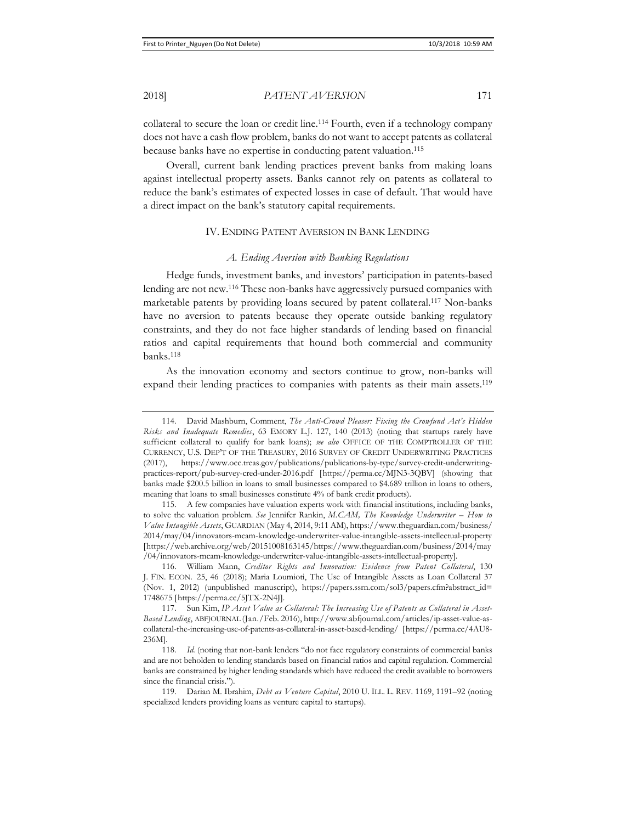collateral to secure the loan or credit line.114 Fourth, even if a technology company does not have a cash flow problem, banks do not want to accept patents as collateral because banks have no expertise in conducting patent valuation.115

Overall, current bank lending practices prevent banks from making loans against intellectual property assets. Banks cannot rely on patents as collateral to reduce the bank's estimates of expected losses in case of default. That would have a direct impact on the bank's statutory capital requirements.

### IV. ENDING PATENT AVERSION IN BANK LENDING

#### *A. Ending Aversion with Banking Regulations*

Hedge funds, investment banks, and investors' participation in patents-based lending are not new.116 These non-banks have aggressively pursued companies with marketable patents by providing loans secured by patent collateral.117 Non-banks have no aversion to patents because they operate outside banking regulatory constraints, and they do not face higher standards of lending based on financial ratios and capital requirements that hound both commercial and community banks.118

As the innovation economy and sectors continue to grow, non-banks will expand their lending practices to companies with patents as their main assets.119

<sup>114.</sup> David Mashburn, Comment, *The Anti-Crowd Pleaser: Fixing the Crowfund Act's Hidden Risks and Inadequate Remedies*, 63 EMORY L.J. 127, 140 (2013) (noting that startups rarely have sufficient collateral to qualify for bank loans); *see also* OFFICE OF THE COMPTROLLER OF THE CURRENCY, U.S. DEP'T OF THE TREASURY, 2016 SURVEY OF CREDIT UNDERWRITING PRACTICES (2017), https://www.occ.treas.gov/publications/publications-by-type/survey-credit-underwritingpractices-report/pub-survey-cred-under-2016.pdf [https://perma.cc/MJN3-3QBV] (showing that banks made \$200.5 billion in loans to small businesses compared to \$4.689 trillion in loans to others, meaning that loans to small businesses constitute 4% of bank credit products).

<sup>115.</sup> A few companies have valuation experts work with financial institutions, including banks, to solve the valuation problem. *See* Jennifer Rankin, *M.CAM, The Knowledge Underwriter – How to Value Intangible Assets*, GUARDIAN (May 4, 2014, 9:11 AM), https://www.theguardian.com/business/ 2014/may/04/innovators-mcam-knowledge-underwriter-value-intangible-assets-intellectual-property [https://web.archive.org/web/20151008163145/https://www.theguardian.com/business/2014/may /04/innovators-mcam-knowledge-underwriter-value-intangible-assets-intellectual-property].

<sup>116.</sup> William Mann, *Creditor Rights and Innovation: Evidence from Patent Collateral*, 130 J. FIN. ECON. 25, 46 (2018); Maria Loumioti, The Use of Intangible Assets as Loan Collateral 37 (Nov. 1, 2012) (unpublished manuscript), https://papers.ssrn.com/sol3/papers.cfm?abstract\_id= 1748675 [https://perma.cc/5JTX-2N4J].

<sup>117.</sup> Sun Kim, *IP Asset Value as Collateral: The Increasing Use of Patents as Collateral in Asset-Based Lending*, ABFJOURNAL (Jan./Feb. 2016), http://www.abfjournal.com/articles/ip-asset-value-ascollateral-the-increasing-use-of-patents-as-collateral-in-asset-based-lending/ [https://perma.cc/4AU8- 236M].

<sup>118.</sup> *Id.* (noting that non-bank lenders "do not face regulatory constraints of commercial banks and are not beholden to lending standards based on financial ratios and capital regulation. Commercial banks are constrained by higher lending standards which have reduced the credit available to borrowers since the financial crisis.").

<sup>119.</sup> Darian M. Ibrahim, *Debt as Venture Capital*, 2010 U. ILL. L. REV. 1169, 1191–92 (noting specialized lenders providing loans as venture capital to startups).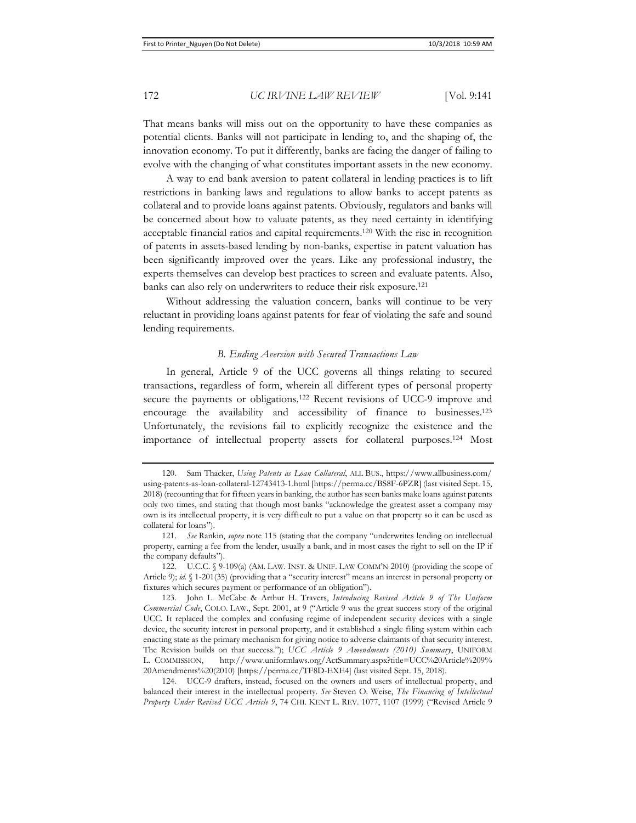That means banks will miss out on the opportunity to have these companies as potential clients. Banks will not participate in lending to, and the shaping of, the innovation economy. To put it differently, banks are facing the danger of failing to evolve with the changing of what constitutes important assets in the new economy.

A way to end bank aversion to patent collateral in lending practices is to lift restrictions in banking laws and regulations to allow banks to accept patents as collateral and to provide loans against patents. Obviously, regulators and banks will be concerned about how to valuate patents, as they need certainty in identifying acceptable financial ratios and capital requirements.120 With the rise in recognition of patents in assets-based lending by non-banks, expertise in patent valuation has been significantly improved over the years. Like any professional industry, the experts themselves can develop best practices to screen and evaluate patents. Also, banks can also rely on underwriters to reduce their risk exposure.121

Without addressing the valuation concern, banks will continue to be very reluctant in providing loans against patents for fear of violating the safe and sound lending requirements.

### *B. Ending Aversion with Secured Transactions Law*

In general, Article 9 of the UCC governs all things relating to secured transactions, regardless of form, wherein all different types of personal property secure the payments or obligations.<sup>122</sup> Recent revisions of UCC-9 improve and encourage the availability and accessibility of finance to businesses.123 Unfortunately, the revisions fail to explicitly recognize the existence and the importance of intellectual property assets for collateral purposes.124 Most

<sup>120.</sup> Sam Thacker, *Using Patents as Loan Collateral*, ALL BUS., https://www.allbusiness.com/ using-patents-as-loan-collateral-12743413-1.html [https://perma.cc/BS8F-6PZR] (last visited Sept. 15, 2018) (recounting that for fifteen years in banking, the author has seen banks make loans against patents only two times, and stating that though most banks "acknowledge the greatest asset a company may own is its intellectual property, it is very difficult to put a value on that property so it can be used as collateral for loans").

<sup>121.</sup> *See* Rankin, *supra* note 115 (stating that the company "underwrites lending on intellectual property, earning a fee from the lender, usually a bank, and in most cases the right to sell on the IP if the company defaults").

<sup>122.</sup> U.C.C. § 9-109(a) (AM. LAW. INST. & UNIF. LAW COMM'N 2010) (providing the scope of Article 9); *id.* § 1-201(35) (providing that a "security interest" means an interest in personal property or fixtures which secures payment or performance of an obligation").

<sup>123.</sup> John L. McCabe & Arthur H. Travers, *Introducing Revised Article 9 of The Uniform Commercial Code*, COLO. LAW., Sept. 2001, at 9 ("Article 9 was the great success story of the original UCC. It replaced the complex and confusing regime of independent security devices with a single device, the security interest in personal property, and it established a single filing system within each enacting state as the primary mechanism for giving notice to adverse claimants of that security interest. The Revision builds on that success."); *UCC Article 9 Amendments (2010) Summary*, UNIFORM L. COMMISSION, http://www.uniformlaws.org/ActSummary.aspx?title=UCC%20Article%209% 20Amendments%20(2010) [https://perma.cc/TF8D-EXE4] (last visited Sept. 15, 2018).

<sup>124.</sup> UCC-9 drafters, instead, focused on the owners and users of intellectual property, and balanced their interest in the intellectual property. *See* Steven O. Weise, *The Financing of Intellectual Property Under Revised UCC Article 9*, 74 CHI. KENT L. REV. 1077, 1107 (1999) ("Revised Article 9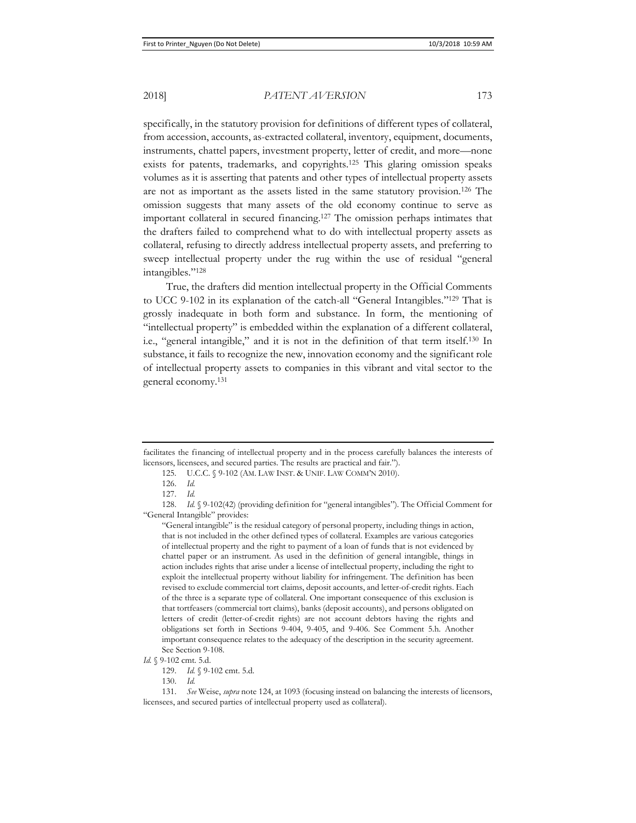specifically, in the statutory provision for definitions of different types of collateral, from accession, accounts, as-extracted collateral, inventory, equipment, documents, instruments, chattel papers, investment property, letter of credit, and more—none exists for patents, trademarks, and copyrights.125 This glaring omission speaks volumes as it is asserting that patents and other types of intellectual property assets are not as important as the assets listed in the same statutory provision.126 The omission suggests that many assets of the old economy continue to serve as important collateral in secured financing.127 The omission perhaps intimates that the drafters failed to comprehend what to do with intellectual property assets as collateral, refusing to directly address intellectual property assets, and preferring to sweep intellectual property under the rug within the use of residual "general intangibles."128

True, the drafters did mention intellectual property in the Official Comments to UCC 9-102 in its explanation of the catch-all "General Intangibles."129 That is grossly inadequate in both form and substance. In form, the mentioning of "intellectual property" is embedded within the explanation of a different collateral, i.e., "general intangible," and it is not in the definition of that term itself.130 In substance, it fails to recognize the new, innovation economy and the significant role of intellectual property assets to companies in this vibrant and vital sector to the general economy.131

128. *Id.* § 9-102(42) (providing definition for "general intangibles"). The Official Comment for "General Intangible" provides:

"General intangible" is the residual category of personal property, including things in action, that is not included in the other defined types of collateral. Examples are various categories of intellectual property and the right to payment of a loan of funds that is not evidenced by chattel paper or an instrument. As used in the definition of general intangible, things in action includes rights that arise under a license of intellectual property, including the right to exploit the intellectual property without liability for infringement. The definition has been revised to exclude commercial tort claims, deposit accounts, and letter-of-credit rights. Each of the three is a separate type of collateral. One important consequence of this exclusion is that tortfeasers (commercial tort claims), banks (deposit accounts), and persons obligated on letters of credit (letter-of-credit rights) are not account debtors having the rights and obligations set forth in Sections 9-404, 9-405, and 9-406. See Comment 5.h. Another important consequence relates to the adequacy of the description in the security agreement. See Section 9-108.

facilitates the financing of intellectual property and in the process carefully balances the interests of licensors, licensees, and secured parties. The results are practical and fair.").

<sup>125.</sup> U.C.C. § 9-102 (AM. LAW INST. & UNIF. LAW COMM'N 2010).

<sup>126.</sup> *Id.*

<sup>127.</sup> *Id.*

*Id.* § 9-102 cmt. 5.d.

<sup>129.</sup> *Id.* § 9-102 cmt. 5.d.

<sup>130.</sup> *Id.*

<sup>131.</sup> *See* Weise, *supra* note 124, at 1093 (focusing instead on balancing the interests of licensors, licensees, and secured parties of intellectual property used as collateral).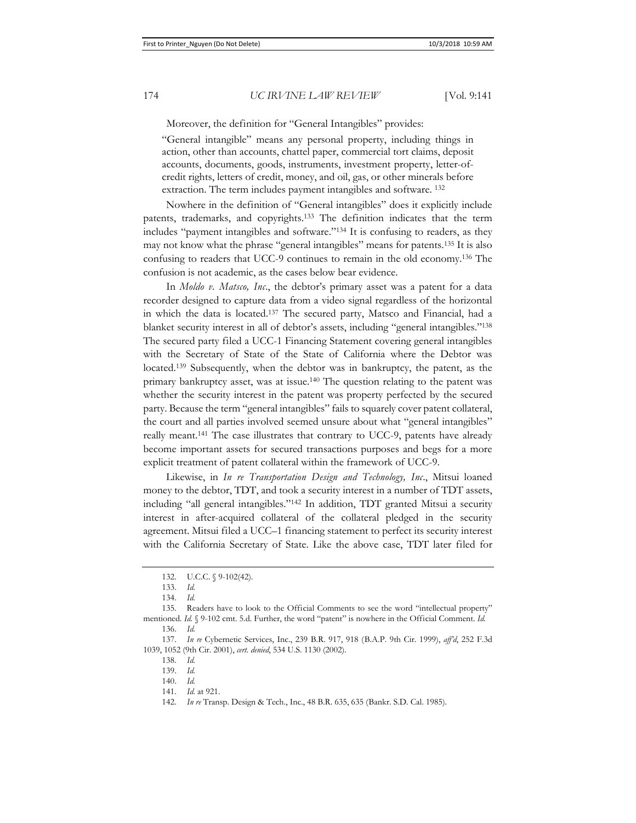Moreover, the definition for "General Intangibles" provides:

"General intangible" means any personal property, including things in action, other than accounts, chattel paper, commercial tort claims, deposit accounts, documents, goods, instruments, investment property, letter-ofcredit rights, letters of credit, money, and oil, gas, or other minerals before extraction. The term includes payment intangibles and software. 132

Nowhere in the definition of "General intangibles" does it explicitly include patents, trademarks, and copyrights.133 The definition indicates that the term includes "payment intangibles and software."134 It is confusing to readers, as they may not know what the phrase "general intangibles" means for patents.135 It is also confusing to readers that UCC-9 continues to remain in the old economy.136 The confusion is not academic, as the cases below bear evidence.

In *Moldo v. Matsco, Inc*., the debtor's primary asset was a patent for a data recorder designed to capture data from a video signal regardless of the horizontal in which the data is located.137 The secured party, Matsco and Financial, had a blanket security interest in all of debtor's assets, including "general intangibles."138 The secured party filed a UCC-1 Financing Statement covering general intangibles with the Secretary of State of the State of California where the Debtor was located.139 Subsequently, when the debtor was in bankruptcy, the patent, as the primary bankruptcy asset, was at issue.140 The question relating to the patent was whether the security interest in the patent was property perfected by the secured party. Because the term "general intangibles" fails to squarely cover patent collateral, the court and all parties involved seemed unsure about what "general intangibles" really meant.141 The case illustrates that contrary to UCC-9, patents have already become important assets for secured transactions purposes and begs for a more explicit treatment of patent collateral within the framework of UCC-9.

Likewise, in *In re Transportation Design and Technology, Inc*., Mitsui loaned money to the debtor, TDT, and took a security interest in a number of TDT assets, including "all general intangibles."142 In addition, TDT granted Mitsui a security interest in after-acquired collateral of the collateral pledged in the security agreement. Mitsui filed a UCC–1 financing statement to perfect its security interest with the California Secretary of State. Like the above case, TDT later filed for

<sup>132.</sup> U.C.C. § 9-102(42).

<sup>133.</sup> *Id.*

<sup>134.</sup> *Id.*

<sup>135.</sup> Readers have to look to the Official Comments to see the word "intellectual property" mentioned. *Id.* § 9-102 cmt. 5.d. Further, the word "patent" is nowhere in the Official Comment. *Id.*

<sup>136.</sup> *Id.*

<sup>137.</sup> *In re* Cybernetic Services, Inc., 239 B.R. 917, 918 (B.A.P. 9th Cir. 1999), *aff'd*, 252 F.3d 1039, 1052 (9th Cir. 2001), *cert. denied*, 534 U.S. 1130 (2002).

<sup>138.</sup> *Id.*

<sup>139.</sup> *Id.*

<sup>140.</sup> *Id.*

<sup>141.</sup> *Id.* at 921.

<sup>142.</sup> *In re* Transp. Design & Tech., Inc., 48 B.R. 635, 635 (Bankr. S.D. Cal. 1985).